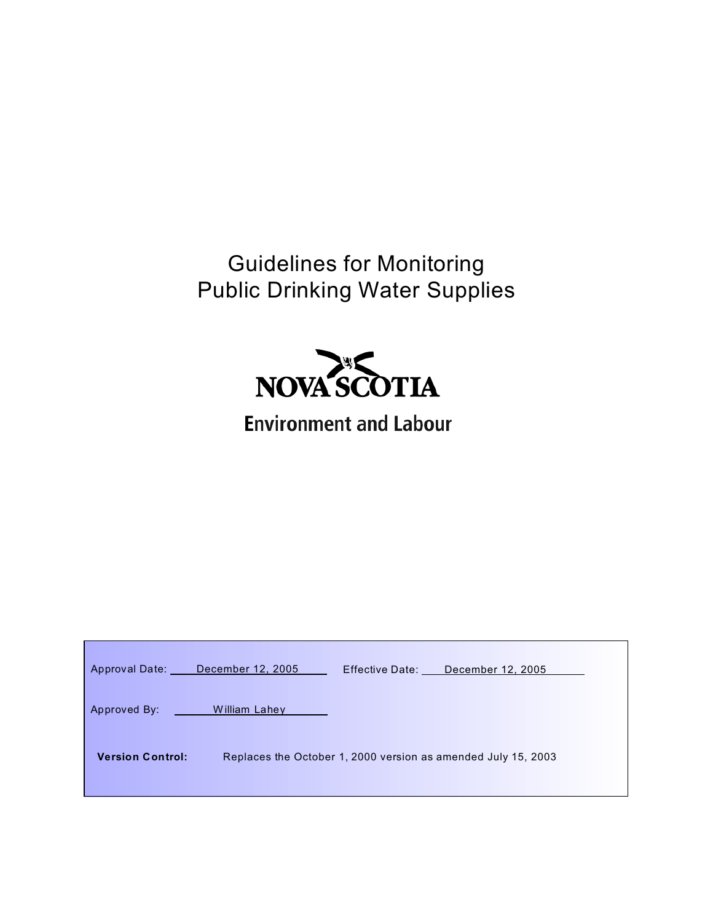Guidelines for Monitoring Public Drinking Water Supplies



# **Environment and Labour**

|                         | Approval Date: December 12, 2005 | Effective Date: December 12, 2005                             |
|-------------------------|----------------------------------|---------------------------------------------------------------|
| Approved By:            | William Lahey                    |                                                               |
| <b>Version Control:</b> |                                  | Replaces the October 1, 2000 version as amended July 15, 2003 |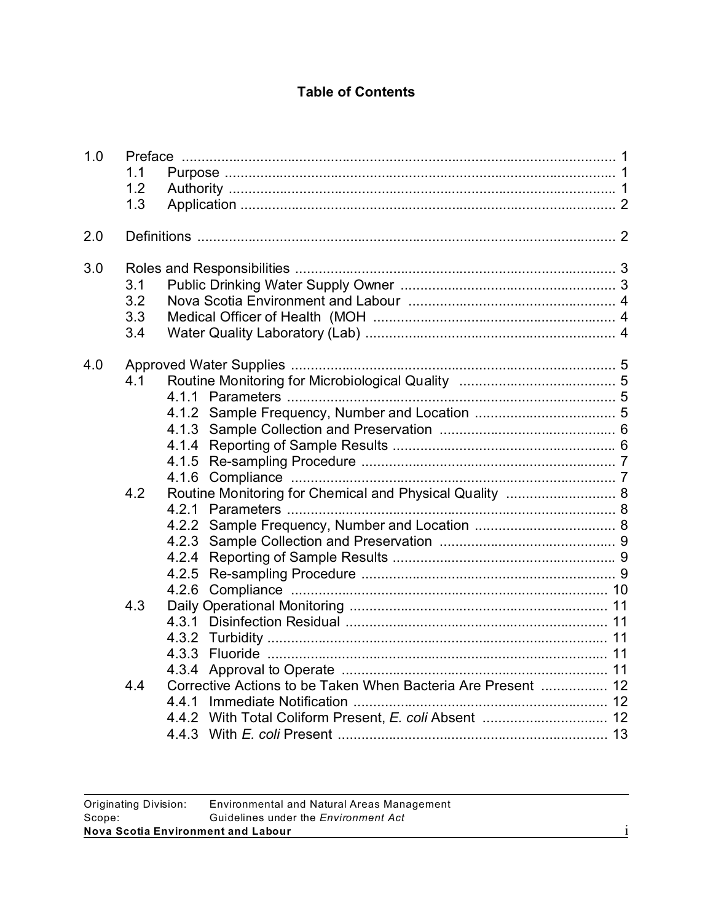# **Table of Contents**

| 1.0 | 1.1<br>1.2<br>1.3        |                                                              |  |
|-----|--------------------------|--------------------------------------------------------------|--|
| 2.0 |                          |                                                              |  |
| 3.0 | 3.1<br>3.2<br>3.3<br>3.4 |                                                              |  |
| 4.0 | 4.1<br>4.2               | Routine Monitoring for Chemical and Physical Quality  8      |  |
|     | 4.3                      |                                                              |  |
|     | 4.4                      | Corrective Actions to be Taken When Bacteria Are Present  12 |  |
|     |                          |                                                              |  |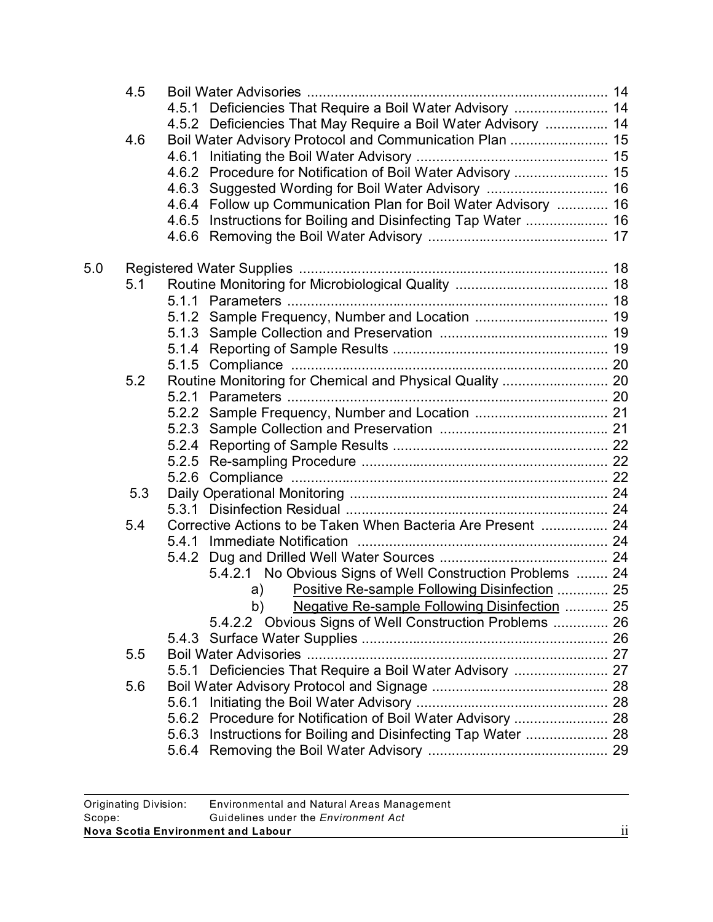|     | 4.5 |                                                                  |  |
|-----|-----|------------------------------------------------------------------|--|
|     |     | 4.5.1 Deficiencies That Require a Boil Water Advisory  14        |  |
|     | 4.6 | 4.5.2 Deficiencies That May Require a Boil Water Advisory  14    |  |
|     |     |                                                                  |  |
|     |     | 4.6.1                                                            |  |
|     |     | 4.6.2 Procedure for Notification of Boil Water Advisory  15      |  |
|     |     | 4.6.3 Suggested Wording for Boil Water Advisory  16              |  |
|     |     | 4.6.4 Follow up Communication Plan for Boil Water Advisory  16   |  |
|     |     | Instructions for Boiling and Disinfecting Tap Water  16<br>4.6.5 |  |
|     |     |                                                                  |  |
| 5.0 |     |                                                                  |  |
|     | 5.1 |                                                                  |  |
|     |     |                                                                  |  |
|     |     |                                                                  |  |
|     |     |                                                                  |  |
|     |     |                                                                  |  |
|     |     |                                                                  |  |
|     | 5.2 | Routine Monitoring for Chemical and Physical Quality  20         |  |
|     |     |                                                                  |  |
|     |     |                                                                  |  |
|     |     |                                                                  |  |
|     |     |                                                                  |  |
|     |     |                                                                  |  |
|     |     | 5.2.6                                                            |  |
|     | 5.3 |                                                                  |  |
|     |     |                                                                  |  |
|     | 5.4 | Corrective Actions to be Taken When Bacteria Are Present  24     |  |
|     |     |                                                                  |  |
|     |     |                                                                  |  |
|     |     | 5.4.2.1 No Obvious Signs of Well Construction Problems  24       |  |
|     |     |                                                                  |  |
|     |     | Positive Re-sample Following Disinfection  25<br>a)              |  |
|     |     | b) Negative Re-sample Following Disinfection  25                 |  |
|     |     | 5.4.2.2 Obvious Signs of Well Construction Problems  26          |  |
|     |     |                                                                  |  |
|     | 5.5 |                                                                  |  |
|     |     | 5.5.1 Deficiencies That Require a Boil Water Advisory  27        |  |
|     | 5.6 |                                                                  |  |
|     |     |                                                                  |  |
|     |     | 5.6.2 Procedure for Notification of Boil Water Advisory  28      |  |
|     |     | 5.6.3 Instructions for Boiling and Disinfecting Tap Water  28    |  |
|     |     |                                                                  |  |
|     |     |                                                                  |  |

| Nova Scotia Environment and Labour |                                             | $\cdot$ . |
|------------------------------------|---------------------------------------------|-----------|
| Scope:                             | Guidelines under the <i>Environment Act</i> |           |
| Originating Division:              | Environmental and Natural Areas Management  |           |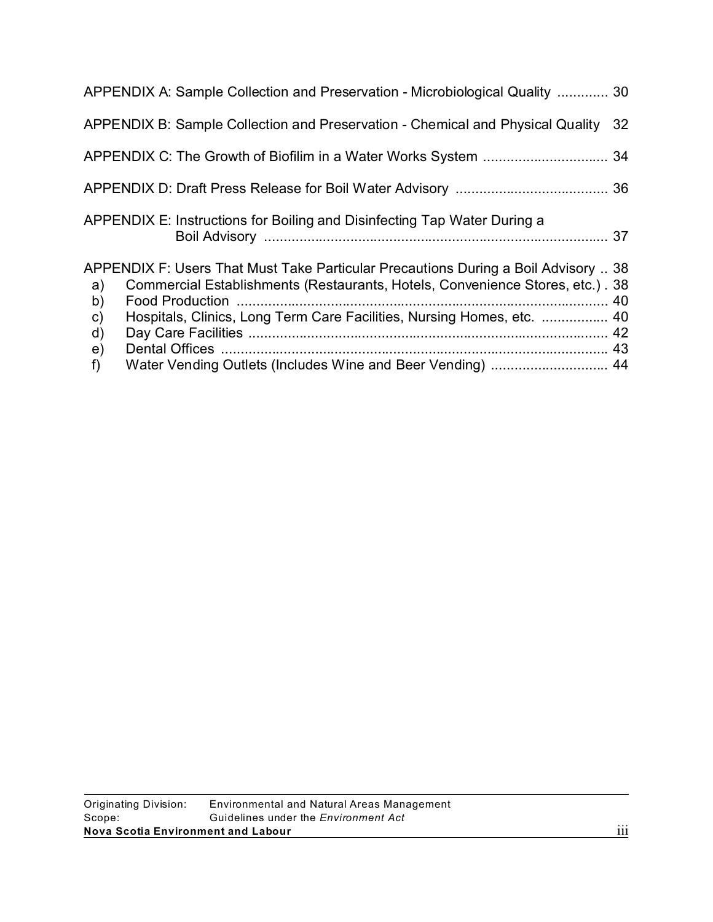|                                           | APPENDIX A: Sample Collection and Preservation - Microbiological Quality  30                                                                                                                                                                  |    |
|-------------------------------------------|-----------------------------------------------------------------------------------------------------------------------------------------------------------------------------------------------------------------------------------------------|----|
|                                           | APPENDIX B: Sample Collection and Preservation - Chemical and Physical Quality                                                                                                                                                                | 32 |
|                                           |                                                                                                                                                                                                                                               |    |
|                                           |                                                                                                                                                                                                                                               |    |
|                                           | APPENDIX E: Instructions for Boiling and Disinfecting Tap Water During a                                                                                                                                                                      |    |
| a)<br>b)<br>$\mathsf{c})$<br>$\mathsf{d}$ | APPENDIX F: Users That Must Take Particular Precautions During a Boil Advisory  38<br>Commercial Establishments (Restaurants, Hotels, Convenience Stores, etc.). 38<br>Hospitals, Clinics, Long Term Care Facilities, Nursing Homes, etc.  40 |    |
| $\epsilon$<br>f)                          | Water Vending Outlets (Includes Wine and Beer Vending)  44                                                                                                                                                                                    |    |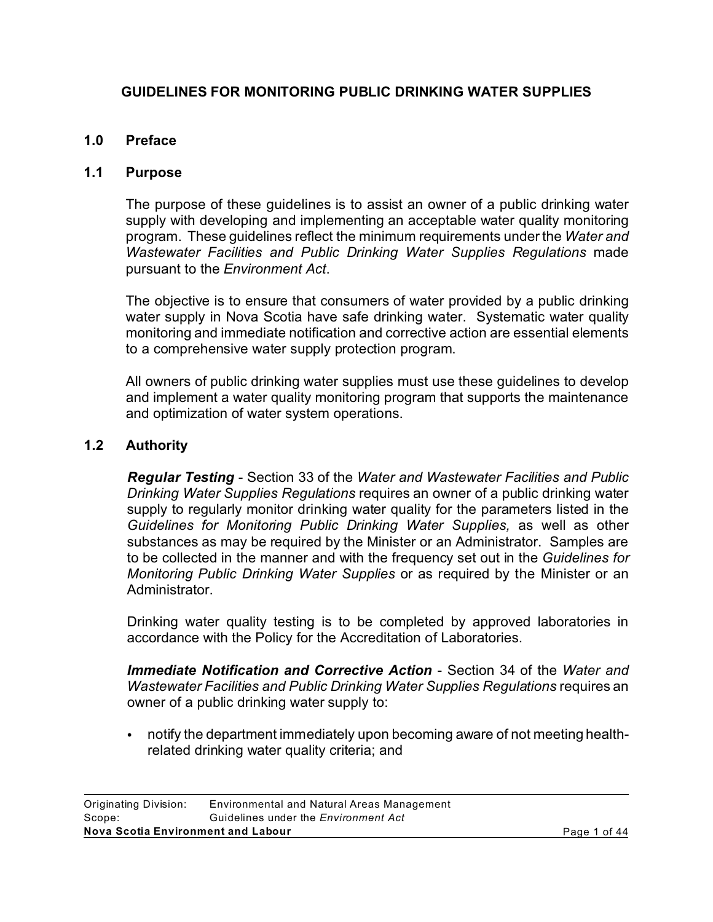# **GUIDELINES FOR MONITORING PUBLIC DRINKING WATER SUPPLIES**

# **1.0 Preface**

#### **1.1 Purpose**

The purpose of these guidelines is to assist an owner of a public drinking water supply with developing and implementing an acceptable water quality monitoring program. These guidelines reflect the minimum requirements under the *Water and Wastewater Facilities and Public Drinking Water Supplies Regulations* made pursuant to the *Environment Act*.

The objective is to ensure that consumers of water provided by a public drinking water supply in Nova Scotia have safe drinking water. Systematic water quality monitoring and immediate notification and corrective action are essential elements to a comprehensive water supply protection program.

All owners of public drinking water supplies must use these guidelines to develop and implement a water quality monitoring program that supports the maintenance and optimization of water system operations.

### **1.2 Authority**

*Regular Testing* - Section 33 of the *Water and Wastewater Facilities and Public Drinking Water Supplies Regulations* requires an owner of a public drinking water supply to regularly monitor drinking water quality for the parameters listed in the *Guidelines for Monitoring Public Drinking Water Supplies,* as well as other substances as may be required by the Minister or an Administrator. Samples are to be collected in the manner and with the frequency set out in the *Guidelines for Monitoring Public Drinking Water Supplies* or as required by the Minister or an Administrator.

Drinking water quality testing is to be completed by approved laboratories in accordance with the Policy for the Accreditation of Laboratories.

*Immediate Notification and Corrective Action* - Section 34 of the *Water and Wastewater Facilities and Public Drinking Water Supplies Regulations* requires an owner of a public drinking water supply to:

notify the department immediately upon becoming aware of not meeting healthrelated drinking water quality criteria; and

| Nova Scotia Environment and Labour |                                             | Page 1 of 44 |
|------------------------------------|---------------------------------------------|--------------|
| Scope:                             | Guidelines under the <i>Environment Act</i> |              |
| Originating Division:              | Environmental and Natural Areas Management  |              |
|                                    |                                             |              |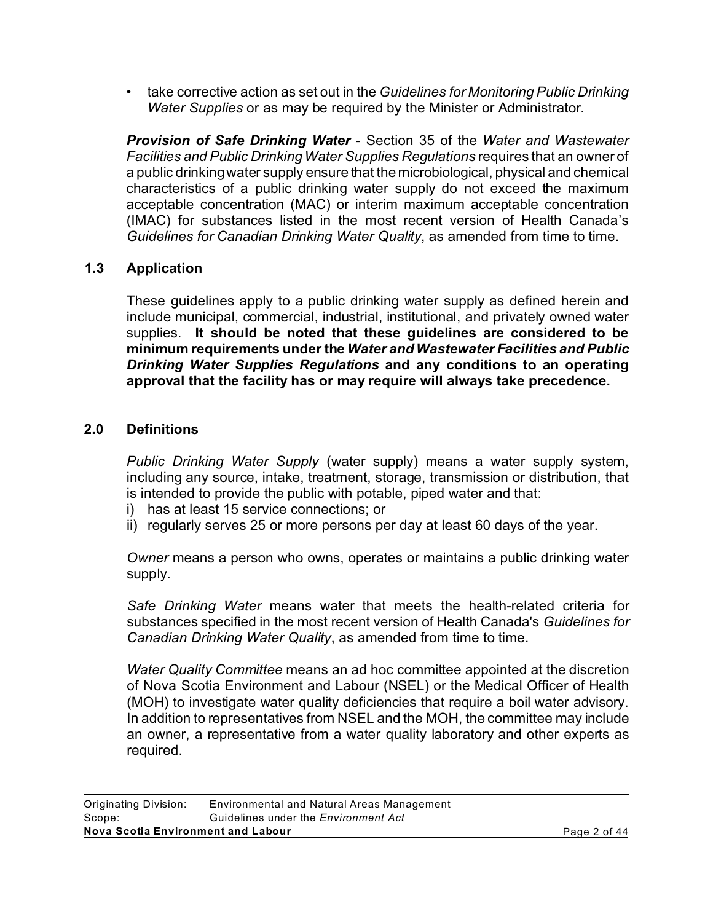• take corrective action as set out in the *Guidelines for Monitoring Public Drinking Water Supplies* or as may be required by the Minister or Administrator.

*Provision of Safe Drinking Water* - Section 35 of the *Water and Wastewater Facilities and Public Drinking Water Supplies Regulations* requires that an owner of a public drinking water supply ensure that the microbiological, physical and chemical characteristics of a public drinking water supply do not exceed the maximum acceptable concentration (MAC) or interim maximum acceptable concentration (IMAC) for substances listed in the most recent version of Health Canada's *Guidelines for Canadian Drinking Water Quality*, as amended from time to time.

# **1.3 Application**

These guidelines apply to a public drinking water supply as defined herein and include municipal, commercial, industrial, institutional, and privately owned water supplies. **It should be noted that these guidelines are considered to be minimum requirements under the** *Water and Wastewater Facilities and Public Drinking Water Supplies Regulations* **and any conditions to an operating approval that the facility has or may require will always take precedence.**

# **2.0 Definitions**

*Public Drinking Water Supply* (water supply) means a water supply system, including any source, intake, treatment, storage, transmission or distribution, that is intended to provide the public with potable, piped water and that:

- i) has at least 15 service connections; or
- ii) regularly serves 25 or more persons per day at least 60 days of the year.

*Owner* means a person who owns, operates or maintains a public drinking water supply.

*Safe Drinking Water* means water that meets the health-related criteria for substances specified in the most recent version of Health Canada's *Guidelines for Canadian Drinking Water Quality*, as amended from time to time.

*Water Quality Committee* means an ad hoc committee appointed at the discretion of Nova Scotia Environment and Labour (NSEL) or the Medical Officer of Health (MOH) to investigate water quality deficiencies that require a boil water advisory. In addition to representatives from NSEL and the MOH, the committee may include an owner, a representative from a water quality laboratory and other experts as required.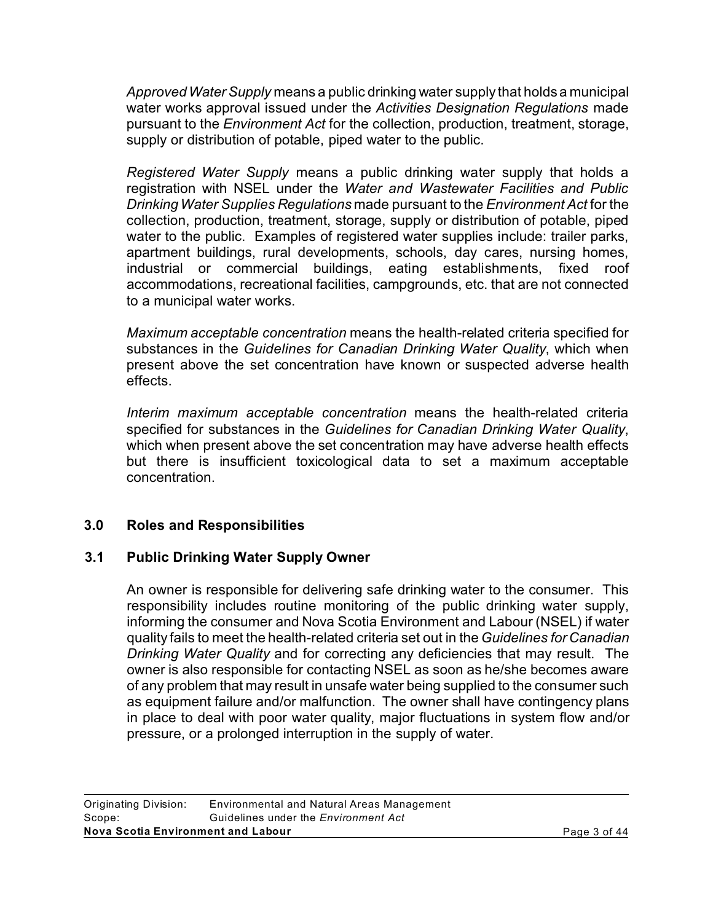*Approved Water Supply* means a public drinking water supply that holds a municipal water works approval issued under the *Activities Designation Regulations* made pursuant to the *Environment Act* for the collection, production, treatment, storage, supply or distribution of potable, piped water to the public.

*Registered Water Supply* means a public drinking water supply that holds a registration with NSEL under the *Water and Wastewater Facilities and Public Drinking Water Supplies Regulations* made pursuant to the *Environment Act* for the collection, production, treatment, storage, supply or distribution of potable, piped water to the public. Examples of registered water supplies include: trailer parks, apartment buildings, rural developments, schools, day cares, nursing homes, industrial or commercial buildings, eating establishments, fixed roof accommodations, recreational facilities, campgrounds, etc. that are not connected to a municipal water works.

*Maximum acceptable concentration* means the health-related criteria specified for substances in the *Guidelines for Canadian Drinking Water Quality*, which when present above the set concentration have known or suspected adverse health effects.

*Interim maximum acceptable concentration* means the health-related criteria specified for substances in the *Guidelines for Canadian Drinking Water Quality*, which when present above the set concentration may have adverse health effects but there is insufficient toxicological data to set a maximum acceptable concentration.

# **3.0 Roles and Responsibilities**

# **3.1 Public Drinking Water Supply Owner**

An owner is responsible for delivering safe drinking water to the consumer. This responsibility includes routine monitoring of the public drinking water supply, informing the consumer and Nova Scotia Environment and Labour (NSEL) if water quality fails to meet the health-related criteria set out in the*Guidelines for Canadian Drinking Water Quality* and for correcting any deficiencies that may result. The owner is also responsible for contacting NSEL as soon as he/she becomes aware of any problem that may result in unsafe water being supplied to the consumer such as equipment failure and/or malfunction. The owner shall have contingency plans in place to deal with poor water quality, major fluctuations in system flow and/or pressure, or a prolonged interruption in the supply of water.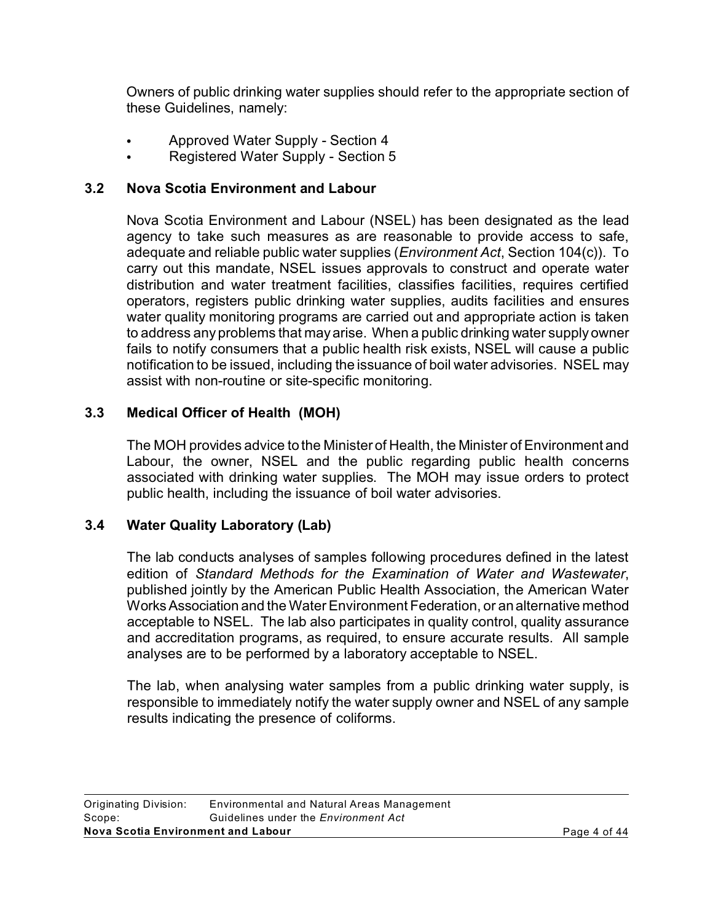Owners of public drinking water supplies should refer to the appropriate section of these Guidelines, namely:

- Approved Water Supply Section 4
- Registered Water Supply Section 5

# **3.2 Nova Scotia Environment and Labour**

Nova Scotia Environment and Labour (NSEL) has been designated as the lead agency to take such measures as are reasonable to provide access to safe, adequate and reliable public water supplies (*Environment Act*, Section 104(c)). To carry out this mandate, NSEL issues approvals to construct and operate water distribution and water treatment facilities, classifies facilities, requires certified operators, registers public drinking water supplies, audits facilities and ensures water quality monitoring programs are carried out and appropriate action is taken to address any problems that may arise. When a public drinking water supply owner fails to notify consumers that a public health risk exists, NSEL will cause a public notification to be issued, including the issuance of boil water advisories. NSEL may assist with non-routine or site-specific monitoring.

# **3.3 Medical Officer of Health (MOH)**

The MOH provides advice to the Minister of Health, the Minister of Environment and Labour, the owner, NSEL and the public regarding public health concerns associated with drinking water supplies. The MOH may issue orders to protect public health, including the issuance of boil water advisories.

# **3.4 Water Quality Laboratory (Lab)**

The lab conducts analyses of samples following procedures defined in the latest edition of *Standard Methods for the Examination of Water and Wastewater*, published jointly by the American Public Health Association, the American Water WorksAssociation and the Water Environment Federation, or an alternative method acceptable to NSEL. The lab also participates in quality control, quality assurance and accreditation programs, as required, to ensure accurate results. All sample analyses are to be performed by a laboratory acceptable to NSEL.

The lab, when analysing water samples from a public drinking water supply, is responsible to immediately notify the water supply owner and NSEL of any sample results indicating the presence of coliforms.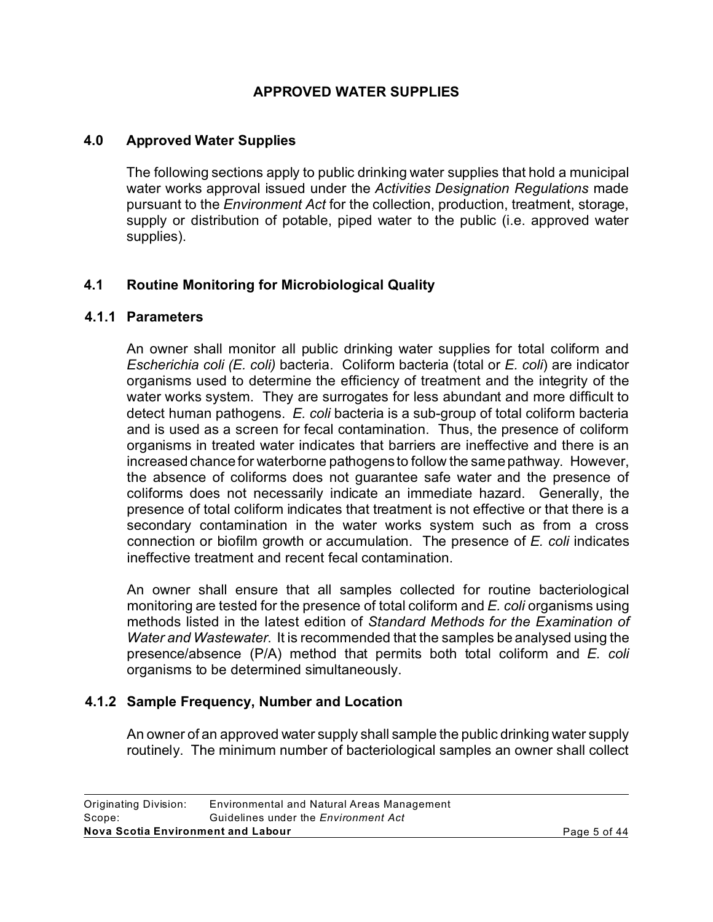### **APPROVED WATER SUPPLIES**

#### **4.0 Approved Water Supplies**

The following sections apply to public drinking water supplies that hold a municipal water works approval issued under the *Activities Designation Regulations* made pursuant to the *Environment Act* for the collection, production, treatment, storage, supply or distribution of potable, piped water to the public (i.e. approved water supplies).

# **4.1 Routine Monitoring for Microbiological Quality**

#### **4.1.1 Parameters**

An owner shall monitor all public drinking water supplies for total coliform and *Escherichia coli (E. coli)* bacteria. Coliform bacteria (total or *E. coli*) are indicator organisms used to determine the efficiency of treatment and the integrity of the water works system. They are surrogates for less abundant and more difficult to detect human pathogens. *E. coli* bacteria is a sub-group of total coliform bacteria and is used as a screen for fecal contamination. Thus, the presence of coliform organisms in treated water indicates that barriers are ineffective and there is an increased chance for waterborne pathogens to follow the same pathway. However, the absence of coliforms does not guarantee safe water and the presence of coliforms does not necessarily indicate an immediate hazard. Generally, the presence of total coliform indicates that treatment is not effective or that there is a secondary contamination in the water works system such as from a cross connection or biofilm growth or accumulation. The presence of *E. coli* indicates ineffective treatment and recent fecal contamination.

An owner shall ensure that all samples collected for routine bacteriological monitoring are tested for the presence of total coliform and *E. coli* organisms using methods listed in the latest edition of *Standard Methods for the Examination of Water and Wastewater*. It is recommended that the samples be analysed using the presence/absence (P/A) method that permits both total coliform and *E. coli* organisms to be determined simultaneously.

#### **4.1.2 Sample Frequency, Number and Location**

An owner of an approved water supply shall sample the public drinking water supply routinely. The minimum number of bacteriological samples an owner shall collect

| Page 5 of 44 |
|--------------|
|              |
|              |
|              |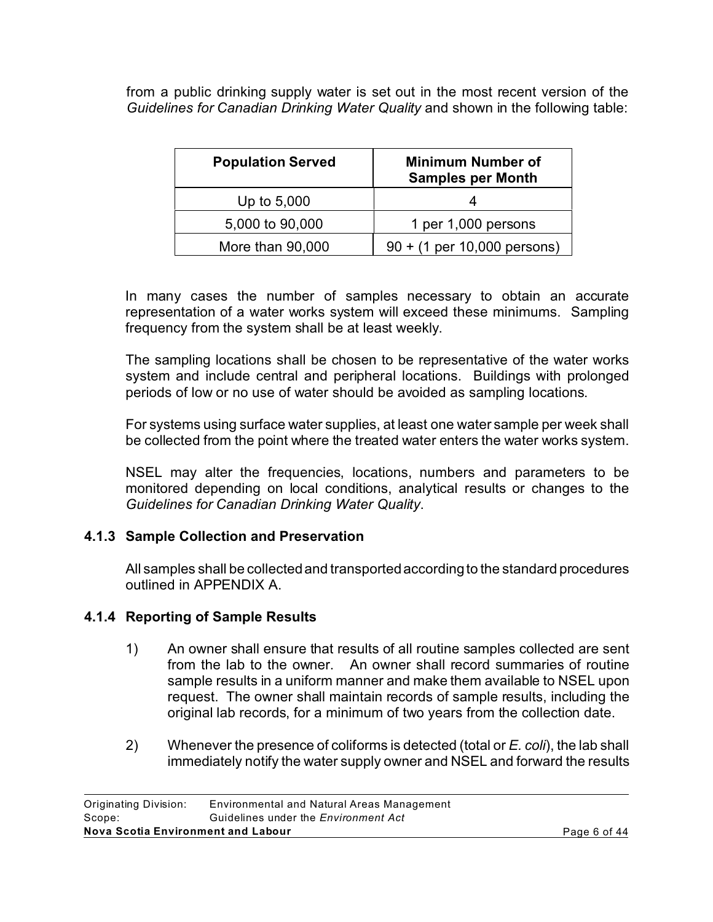from a public drinking supply water is set out in the most recent version of the *Guidelines for Canadian Drinking Water Quality* and shown in the following table:

| <b>Population Served</b> | <b>Minimum Number of</b><br><b>Samples per Month</b> |
|--------------------------|------------------------------------------------------|
| Up to 5,000              |                                                      |
| 5,000 to 90,000          | 1 per 1,000 persons                                  |
| More than 90,000         | $90 + (1 \text{ per } 10,000 \text{ persons})$       |

In many cases the number of samples necessary to obtain an accurate representation of a water works system will exceed these minimums. Sampling frequency from the system shall be at least weekly.

The sampling locations shall be chosen to be representative of the water works system and include central and peripheral locations. Buildings with prolonged periods of low or no use of water should be avoided as sampling locations.

For systems using surface water supplies, at least one water sample per week shall be collected from the point where the treated water enters the water works system.

NSEL may alter the frequencies, locations, numbers and parameters to be monitored depending on local conditions, analytical results or changes to the *Guidelines for Canadian Drinking Water Quality*.

#### **4.1.3 Sample Collection and Preservation**

All samples shall be collected and transported according to the standard procedures outlined in APPENDIX A.

#### **4.1.4 Reporting of Sample Results**

- 1) An owner shall ensure that results of all routine samples collected are sent from the lab to the owner. An owner shall record summaries of routine sample results in a uniform manner and make them available to NSEL upon request. The owner shall maintain records of sample results, including the original lab records, for a minimum of two years from the collection date.
- 2) Whenever the presence of coliforms is detected (total or *E. coli*), the lab shall immediately notify the water supply owner and NSEL and forward the results

| Nova Scotia Environment and Labour          |  |
|---------------------------------------------|--|
| Guidelines under the <i>Environment Act</i> |  |
| Environmental and Natural Areas Management  |  |
|                                             |  |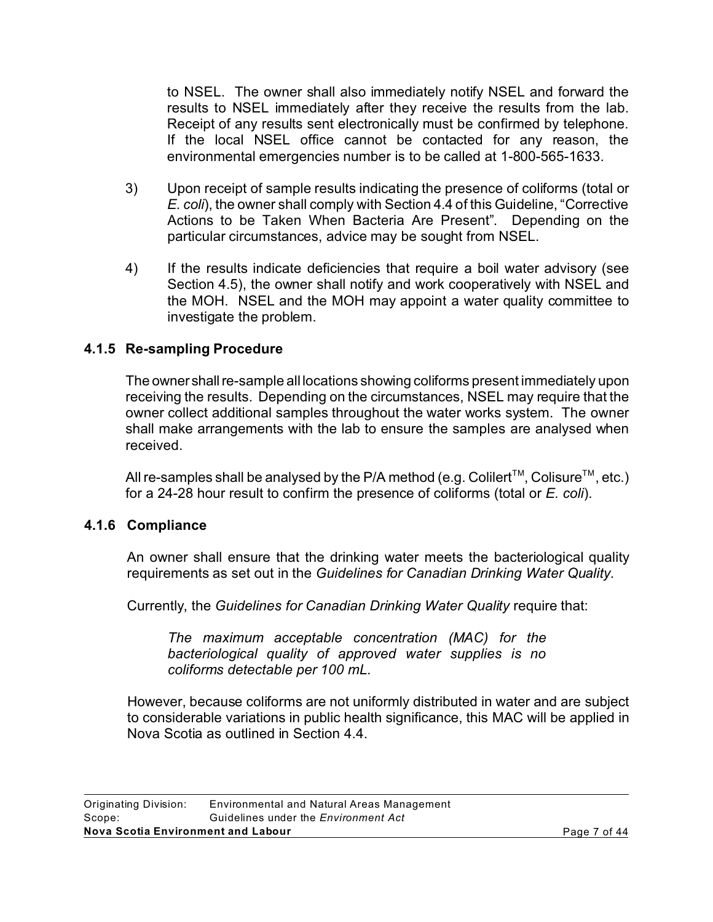to NSEL. The owner shall also immediately notify NSEL and forward the results to NSEL immediately after they receive the results from the lab. Receipt of any results sent electronically must be confirmed by telephone. If the local NSEL office cannot be contacted for any reason, the environmental emergencies number is to be called at 1-800-565-1633.

- 3) Upon receipt of sample results indicating the presence of coliforms (total or *E. coli*), the owner shall comply with Section 4.4 of this Guideline, "Corrective Actions to be Taken When Bacteria Are Present". Depending on the particular circumstances, advice may be sought from NSEL.
- 4) If the results indicate deficiencies that require a boil water advisory (see Section 4.5), the owner shall notify and work cooperatively with NSEL and the MOH. NSEL and the MOH may appoint a water quality committee to investigate the problem.

# **4.1.5 Re-sampling Procedure**

The owner shall re-sample all locations showing coliforms present immediately upon receiving the results. Depending on the circumstances, NSEL may require that the owner collect additional samples throughout the water works system. The owner shall make arrangements with the lab to ensure the samples are analysed when received.

All re-samples shall be analysed by the P/A method (e.g. Colilert<sup>TM</sup>, Colisure<sup>TM</sup>, etc.) for a 24-28 hour result to confirm the presence of coliforms (total or *E. coli*).

# **4.1.6 Compliance**

An owner shall ensure that the drinking water meets the bacteriological quality requirements as set out in the *Guidelines for Canadian Drinking Water Quality*.

Currently, the *Guidelines for Canadian Drinking Water Quality* require that:

*The maximum acceptable concentration (MAC) for the bacteriological quality of approved water supplies is no coliforms detectable per 100 mL.* 

However, because coliforms are not uniformly distributed in water and are subject to considerable variations in public health significance, this MAC will be applied in Nova Scotia as outlined in Section 4.4.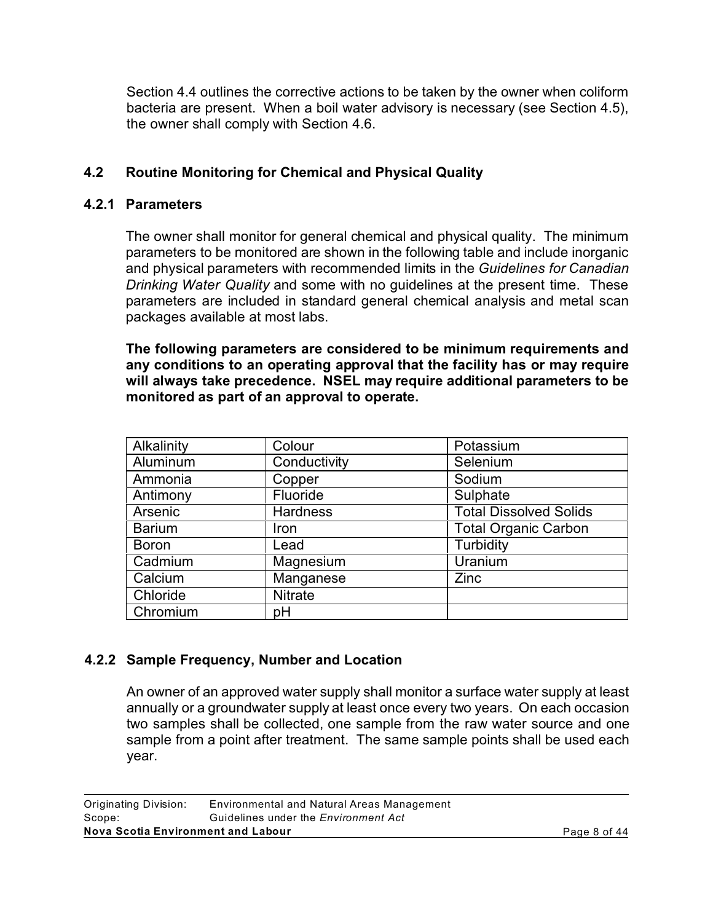Section 4.4 outlines the corrective actions to be taken by the owner when coliform bacteria are present. When a boil water advisory is necessary (see Section 4.5), the owner shall comply with Section 4.6.

# **4.2 Routine Monitoring for Chemical and Physical Quality**

#### **4.2.1 Parameters**

The owner shall monitor for general chemical and physical quality. The minimum parameters to be monitored are shown in the following table and include inorganic and physical parameters with recommended limits in the *Guidelines for Canadian Drinking Water Quality* and some with no guidelines at the present time. These parameters are included in standard general chemical analysis and metal scan packages available at most labs.

**The following parameters are considered to be minimum requirements and any conditions to an operating approval that the facility has or may require will always take precedence. NSEL may require additional parameters to be monitored as part of an approval to operate.**

| Alkalinity    | Colour          | Potassium                     |
|---------------|-----------------|-------------------------------|
| Aluminum      | Conductivity    | Selenium                      |
| Ammonia       | Copper          | Sodium                        |
| Antimony      | Fluoride        | Sulphate                      |
| Arsenic       | <b>Hardness</b> | <b>Total Dissolved Solids</b> |
| <b>Barium</b> | <b>Iron</b>     | <b>Total Organic Carbon</b>   |
| <b>Boron</b>  | Lead            | Turbidity                     |
| Cadmium       | Magnesium       | Uranium                       |
| Calcium       | Manganese       | <b>Zinc</b>                   |
| Chloride      | <b>Nitrate</b>  |                               |
| Chromium      | pH              |                               |

# **4.2.2 Sample Frequency, Number and Location**

An owner of an approved water supply shall monitor a surface water supply at least annually or a groundwater supply at least once every two years. On each occasion two samples shall be collected, one sample from the raw water source and one sample from a point after treatment. The same sample points shall be used each year.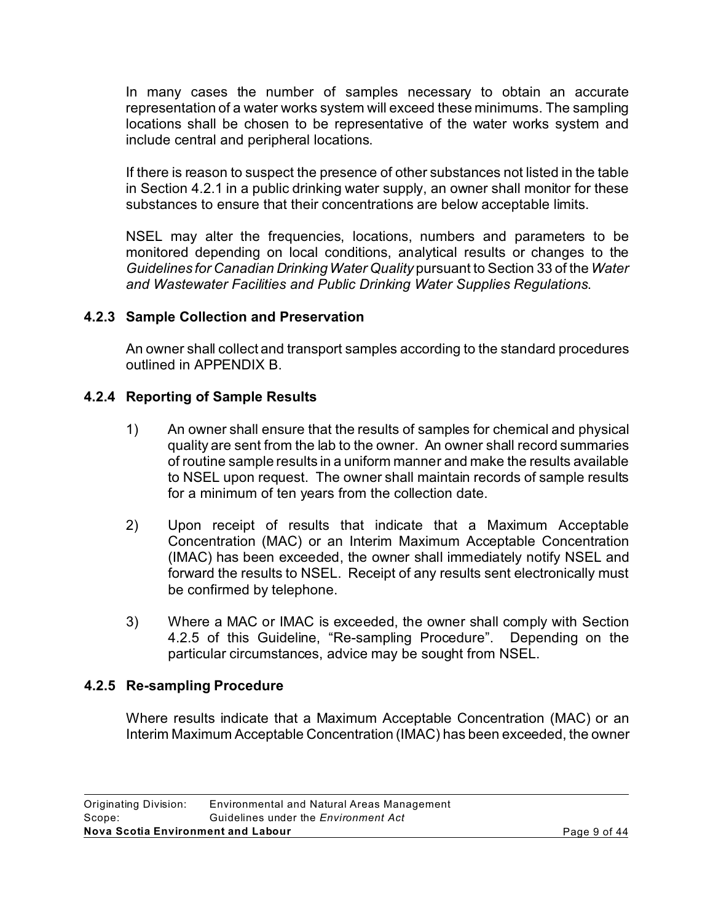In many cases the number of samples necessary to obtain an accurate representation of a water works system will exceed these minimums. The sampling locations shall be chosen to be representative of the water works system and include central and peripheral locations.

If there is reason to suspect the presence of other substances not listed in the table in Section 4.2.1 in a public drinking water supply, an owner shall monitor for these substances to ensure that their concentrations are below acceptable limits.

NSEL may alter the frequencies, locations, numbers and parameters to be monitored depending on local conditions, analytical results or changes to the *Guidelines for Canadian Drinking Water Quality* pursuant to Section 33 of the *Water and Wastewater Facilities and Public Drinking Water Supplies Regulations*.

# **4.2.3 Sample Collection and Preservation**

An owner shall collect and transport samples according to the standard procedures outlined in APPENDIX B.

### **4.2.4 Reporting of Sample Results**

- 1) An owner shall ensure that the results of samples for chemical and physical quality are sent from the lab to the owner. An owner shall record summaries of routine sample results in a uniform manner and make the results available to NSEL upon request. The owner shall maintain records of sample results for a minimum of ten years from the collection date.
- 2) Upon receipt of results that indicate that a Maximum Acceptable Concentration (MAC) or an Interim Maximum Acceptable Concentration (IMAC) has been exceeded, the owner shall immediately notify NSEL and forward the results to NSEL. Receipt of any results sent electronically must be confirmed by telephone.
- 3) Where a MAC or IMAC is exceeded, the owner shall comply with Section 4.2.5 of this Guideline, "Re-sampling Procedure". Depending on the particular circumstances, advice may be sought from NSEL.

#### **4.2.5 Re-sampling Procedure**

Where results indicate that a Maximum Acceptable Concentration (MAC) or an Interim Maximum Acceptable Concentration (IMAC) has been exceeded, the owner

| Nova Scotia Environment and Labour |                                             | Page 9 of 44 |
|------------------------------------|---------------------------------------------|--------------|
| Scope:                             | Guidelines under the <i>Environment Act</i> |              |
| Originating Division:              | Environmental and Natural Areas Management  |              |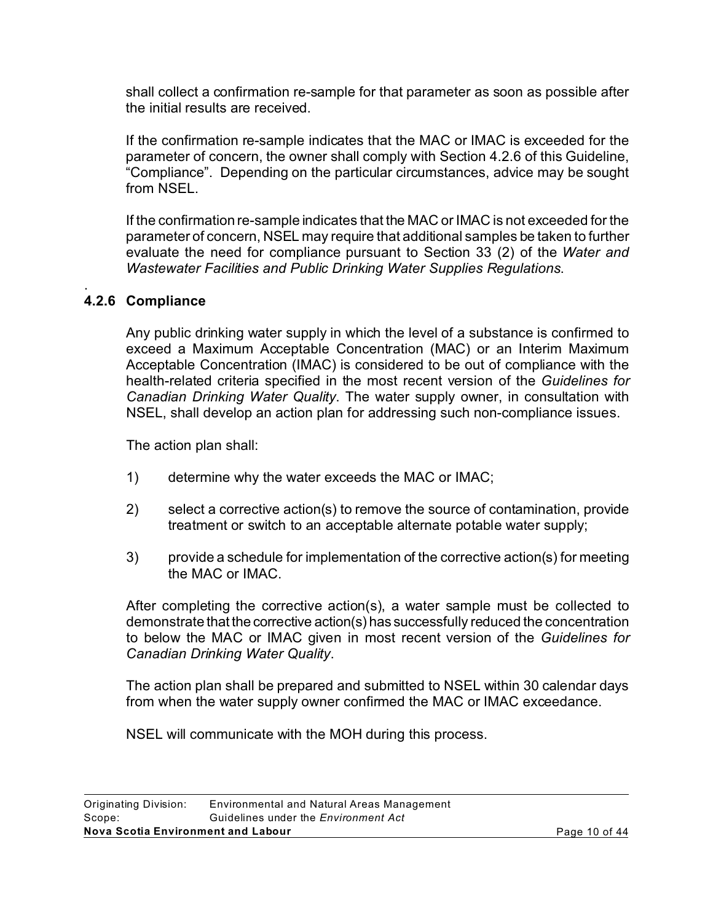shall collect a confirmation re-sample for that parameter as soon as possible after the initial results are received.

If the confirmation re-sample indicates that the MAC or IMAC is exceeded for the parameter of concern, the owner shall comply with Section 4.2.6 of this Guideline, "Compliance". Depending on the particular circumstances, advice may be sought from NSEL.

If the confirmation re-sample indicates that the MAC or IMAC is not exceeded for the parameter of concern, NSEL may require that additional samples be taken to further evaluate the need for compliance pursuant to Section 33 (2) of the *Water and Wastewater Facilities and Public Drinking Water Supplies Regulations*.

#### . **4.2.6 Compliance**

Any public drinking water supply in which the level of a substance is confirmed to exceed a Maximum Acceptable Concentration (MAC) or an Interim Maximum Acceptable Concentration (IMAC) is considered to be out of compliance with the health-related criteria specified in the most recent version of the *Guidelines for Canadian Drinking Water Quality*. The water supply owner, in consultation with NSEL, shall develop an action plan for addressing such non-compliance issues.

The action plan shall:

- 1) determine why the water exceeds the MAC or IMAC;
- 2) select a corrective action(s) to remove the source of contamination, provide treatment or switch to an acceptable alternate potable water supply;
- 3) provide a schedule for implementation of the corrective action(s) for meeting the MAC or IMAC.

After completing the corrective action(s), a water sample must be collected to demonstrate that the corrective action(s) has successfully reduced the concentration to below the MAC or IMAC given in most recent version of the *Guidelines for Canadian Drinking Water Quality*.

The action plan shall be prepared and submitted to NSEL within 30 calendar days from when the water supply owner confirmed the MAC or IMAC exceedance.

NSEL will communicate with the MOH during this process.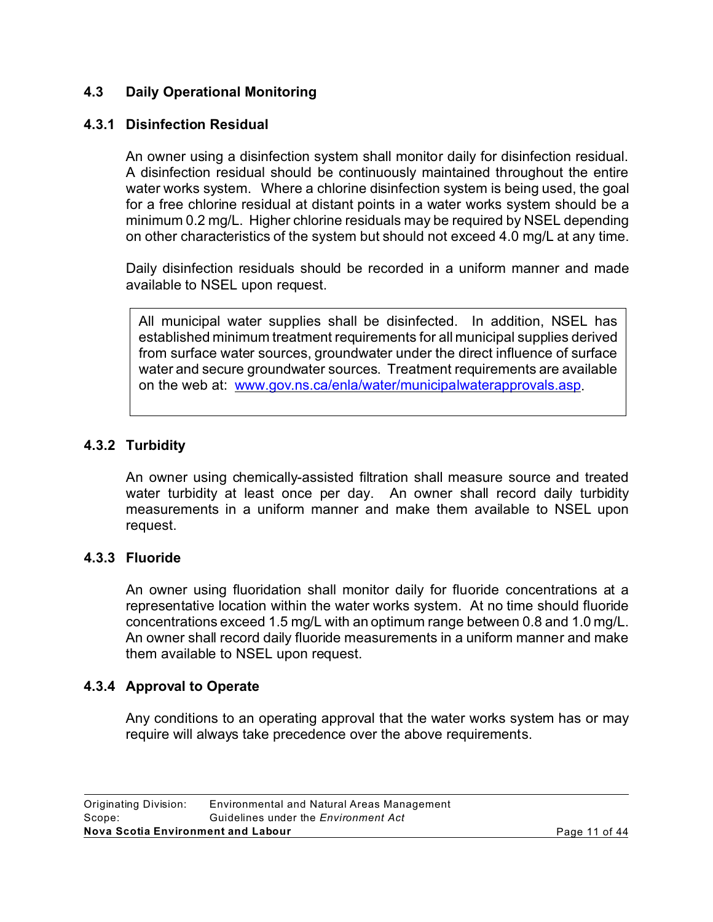# **4.3 Daily Operational Monitoring**

### **4.3.1 Disinfection Residual**

An owner using a disinfection system shall monitor daily for disinfection residual. A disinfection residual should be continuously maintained throughout the entire water works system. Where a chlorine disinfection system is being used, the goal for a free chlorine residual at distant points in a water works system should be a minimum 0.2 mg/L. Higher chlorine residuals may be required by NSEL depending on other characteristics of the system but should not exceed 4.0 mg/L at any time.

Daily disinfection residuals should be recorded in a uniform manner and made available to NSEL upon request.

All municipal water supplies shall be disinfected. In addition, NSEL has established minimum treatment requirements for all municipal supplies derived from surface water sources, groundwater under the direct influence of surface water and secure groundwater sources. Treatment requirements are available on the web at: www.gov.ns.ca/enla/water/municipalwaterapprovals.asp.

# **4.3.2 Turbidity**

An owner using chemically-assisted filtration shall measure source and treated water turbidity at least once per day. An owner shall record daily turbidity measurements in a uniform manner and make them available to NSEL upon request.

#### **4.3.3 Fluoride**

An owner using fluoridation shall monitor daily for fluoride concentrations at a representative location within the water works system. At no time should fluoride concentrations exceed 1.5 mg/L with an optimum range between 0.8 and 1.0 mg/L. An owner shall record daily fluoride measurements in a uniform manner and make them available to NSEL upon request.

#### **4.3.4 Approval to Operate**

Any conditions to an operating approval that the water works system has or may require will always take precedence over the above requirements.

| Nova Scotia Environment and Labour |                                             | Page 11 of 44 |
|------------------------------------|---------------------------------------------|---------------|
| Scope:                             | Guidelines under the <i>Environment Act</i> |               |
| Originating Division:              | Environmental and Natural Areas Management  |               |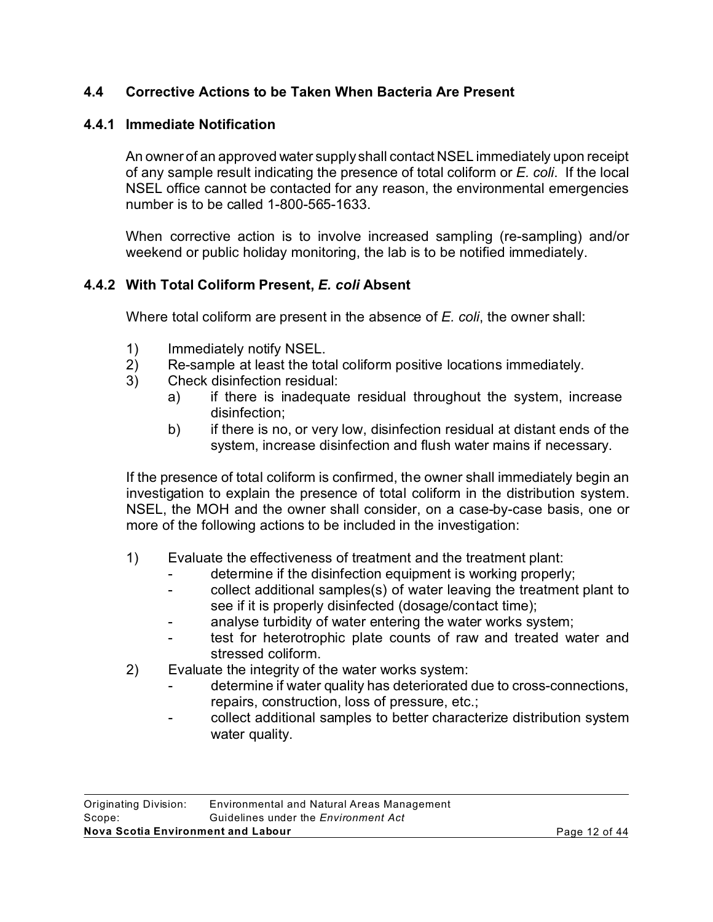# **4.4 Corrective Actions to be Taken When Bacteria Are Present**

# **4.4.1 Immediate Notification**

An owner of an approved water supply shall contact NSEL immediately upon receipt of any sample result indicating the presence of total coliform or *E. coli*. If the local NSEL office cannot be contacted for any reason, the environmental emergencies number is to be called 1-800-565-1633.

When corrective action is to involve increased sampling (re-sampling) and/or weekend or public holiday monitoring, the lab is to be notified immediately.

# **4.4.2 With Total Coliform Present,** *E. coli* **Absent**

Where total coliform are present in the absence of *E. coli*, the owner shall:

- 1) Immediately notify NSEL.
- 2) Re-sample at least the total coliform positive locations immediately.
- 3) Check disinfection residual:
	- a) if there is inadequate residual throughout the system, increase disinfection;
	- b) if there is no, or very low, disinfection residual at distant ends of the system, increase disinfection and flush water mains if necessary.

If the presence of total coliform is confirmed, the owner shall immediately begin an investigation to explain the presence of total coliform in the distribution system. NSEL, the MOH and the owner shall consider, on a case-by-case basis, one or more of the following actions to be included in the investigation:

- 1) Evaluate the effectiveness of treatment and the treatment plant:
	- determine if the disinfection equipment is working properly;
	- collect additional samples(s) of water leaving the treatment plant to see if it is properly disinfected (dosage/contact time);
	- analyse turbidity of water entering the water works system;
	- test for heterotrophic plate counts of raw and treated water and stressed coliform.
- 2) Evaluate the integrity of the water works system:
	- determine if water quality has deteriorated due to cross-connections, repairs, construction, loss of pressure, etc.;
	- collect additional samples to better characterize distribution system water quality.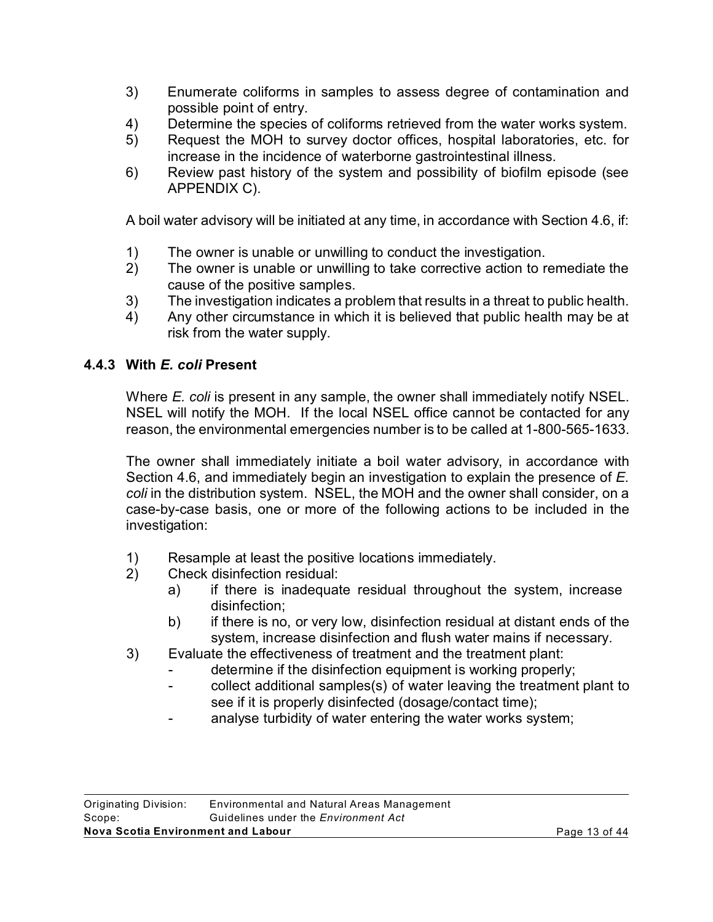- 3) Enumerate coliforms in samples to assess degree of contamination and possible point of entry.
- 4) Determine the species of coliforms retrieved from the water works system.
- 5) Request the MOH to survey doctor offices, hospital laboratories, etc. for increase in the incidence of waterborne gastrointestinal illness.
- 6) Review past history of the system and possibility of biofilm episode (see APPENDIX C).

A boil water advisory will be initiated at any time, in accordance with Section 4.6, if:

- 1) The owner is unable or unwilling to conduct the investigation.
- 2) The owner is unable or unwilling to take corrective action to remediate the cause of the positive samples.
- 3) The investigation indicates a problem that results in a threat to public health.
- 4) Any other circumstance in which it is believed that public health may be at risk from the water supply.

# **4.4.3 With** *E. coli* **Present**

Where *E. coli* is present in any sample, the owner shall immediately notify NSEL. NSEL will notify the MOH. If the local NSEL office cannot be contacted for any reason, the environmental emergencies number is to be called at 1-800-565-1633.

The owner shall immediately initiate a boil water advisory, in accordance with Section 4.6, and immediately begin an investigation to explain the presence of *E. coli* in the distribution system. NSEL, the MOH and the owner shall consider, on a case-by-case basis, one or more of the following actions to be included in the investigation:

- 1) Resample at least the positive locations immediately.
- 2) Check disinfection residual:
	- a) if there is inadequate residual throughout the system, increase disinfection;
	- b) if there is no, or very low, disinfection residual at distant ends of the system, increase disinfection and flush water mains if necessary.
- 3) Evaluate the effectiveness of treatment and the treatment plant:
	- determine if the disinfection equipment is working properly;
	- collect additional samples(s) of water leaving the treatment plant to see if it is properly disinfected (dosage/contact time);
	- analyse turbidity of water entering the water works system;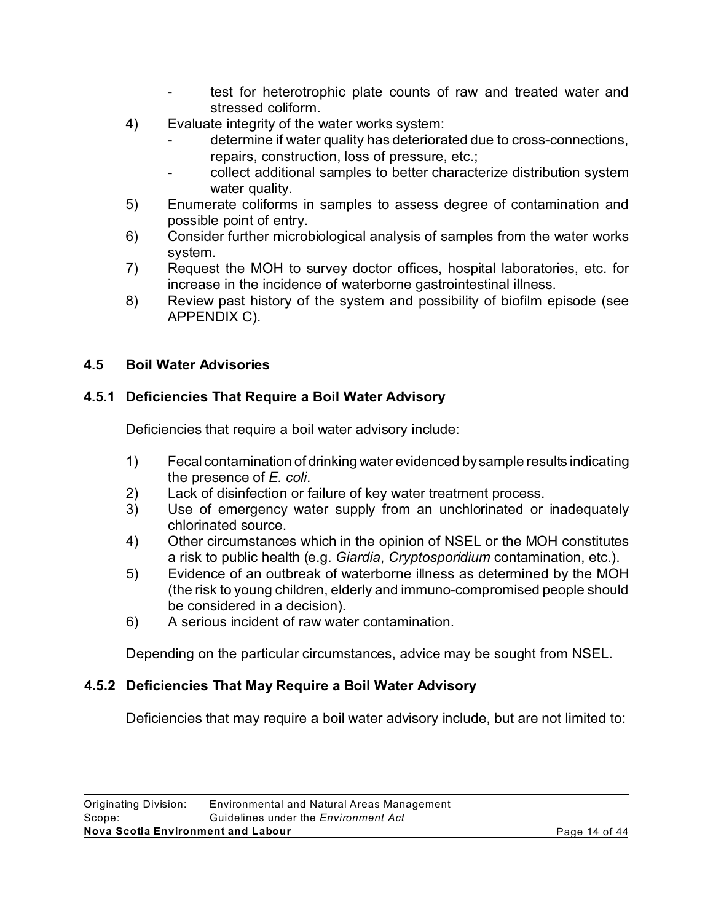- test for heterotrophic plate counts of raw and treated water and stressed coliform.
- 4) Evaluate integrity of the water works system:
	- determine if water quality has deteriorated due to cross-connections, repairs, construction, loss of pressure, etc.;
	- collect additional samples to better characterize distribution system water quality.
- 5) Enumerate coliforms in samples to assess degree of contamination and possible point of entry.
- 6) Consider further microbiological analysis of samples from the water works system.
- 7) Request the MOH to survey doctor offices, hospital laboratories, etc. for increase in the incidence of waterborne gastrointestinal illness.
- 8) Review past history of the system and possibility of biofilm episode (see APPENDIX C).

# **4.5 Boil Water Advisories**

# **4.5.1 Deficiencies That Require a Boil Water Advisory**

Deficiencies that require a boil water advisory include:

- 1) Fecal contamination of drinking water evidenced by sample results indicating the presence of *E. coli*.
- 2) Lack of disinfection or failure of key water treatment process.
- 3) Use of emergency water supply from an unchlorinated or inadequately chlorinated source.
- 4) Other circumstances which in the opinion of NSEL or the MOH constitutes a risk to public health (e.g. *Giardia*, *Cryptosporidium* contamination, etc.).
- 5) Evidence of an outbreak of waterborne illness as determined by the MOH (the risk to young children, elderly and immuno-compromised people should be considered in a decision).
- 6) A serious incident of raw water contamination.

Depending on the particular circumstances, advice may be sought from NSEL.

# **4.5.2 Deficiencies That May Require a Boil Water Advisory**

Deficiencies that may require a boil water advisory include, but are not limited to: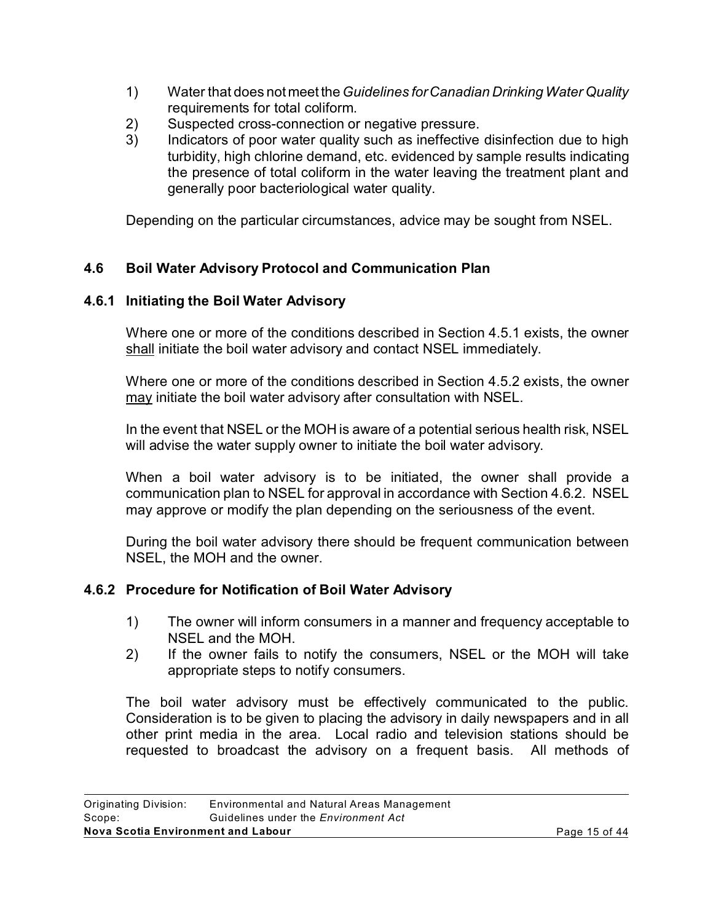- 1) Water that does not meet the*Guidelines for Canadian Drinking Water Quality* requirements for total coliform.
- 2) Suspected cross-connection or negative pressure.
- 3) Indicators of poor water quality such as ineffective disinfection due to high turbidity, high chlorine demand, etc. evidenced by sample results indicating the presence of total coliform in the water leaving the treatment plant and generally poor bacteriological water quality.

Depending on the particular circumstances, advice may be sought from NSEL.

# **4.6 Boil Water Advisory Protocol and Communication Plan**

# **4.6.1 Initiating the Boil Water Advisory**

Where one or more of the conditions described in Section 4.5.1 exists, the owner shall initiate the boil water advisory and contact NSEL immediately.

Where one or more of the conditions described in Section 4.5.2 exists, the owner may initiate the boil water advisory after consultation with NSEL.

In the event that NSEL or the MOH is aware of a potential serious health risk, NSEL will advise the water supply owner to initiate the boil water advisory.

When a boil water advisory is to be initiated, the owner shall provide a communication plan to NSEL for approval in accordance with Section 4.6.2. NSEL may approve or modify the plan depending on the seriousness of the event.

During the boil water advisory there should be frequent communication between NSEL, the MOH and the owner.

# **4.6.2 Procedure for Notification of Boil Water Advisory**

- 1) The owner will inform consumers in a manner and frequency acceptable to NSEL and the MOH.
- 2) If the owner fails to notify the consumers, NSEL or the MOH will take appropriate steps to notify consumers.

The boil water advisory must be effectively communicated to the public. Consideration is to be given to placing the advisory in daily newspapers and in all other print media in the area. Local radio and television stations should be requested to broadcast the advisory on a frequent basis. All methods of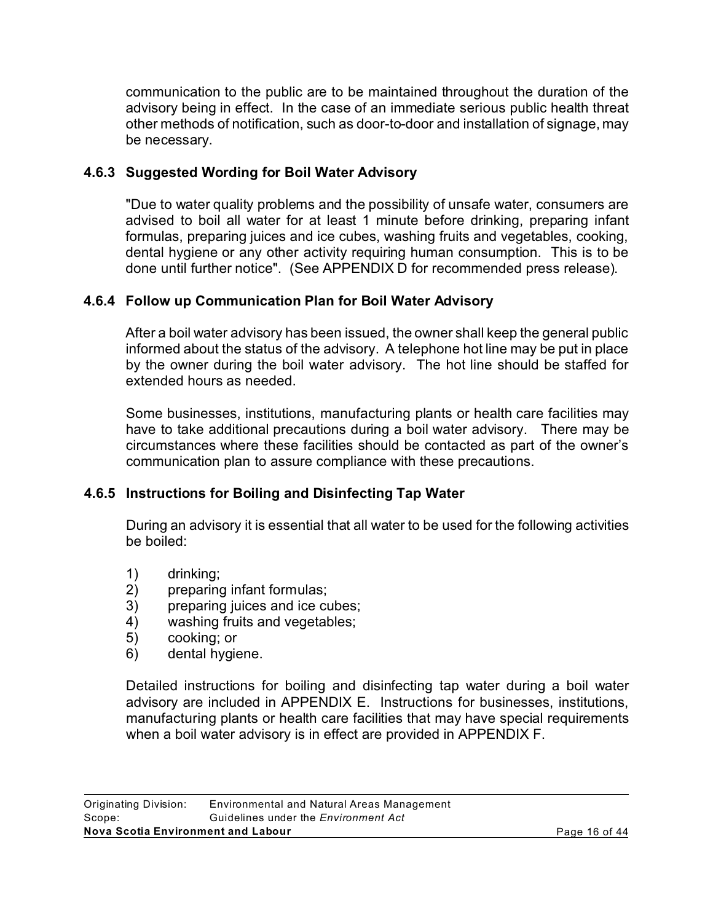communication to the public are to be maintained throughout the duration of the advisory being in effect. In the case of an immediate serious public health threat other methods of notification, such as door-to-door and installation of signage, may be necessary.

# **4.6.3 Suggested Wording for Boil Water Advisory**

"Due to water quality problems and the possibility of unsafe water, consumers are advised to boil all water for at least 1 minute before drinking, preparing infant formulas, preparing juices and ice cubes, washing fruits and vegetables, cooking, dental hygiene or any other activity requiring human consumption. This is to be done until further notice". (See APPENDIX D for recommended press release).

# **4.6.4 Follow up Communication Plan for Boil Water Advisory**

After a boil water advisory has been issued, the owner shall keep the general public informed about the status of the advisory. A telephone hot line may be put in place by the owner during the boil water advisory. The hot line should be staffed for extended hours as needed.

Some businesses, institutions, manufacturing plants or health care facilities may have to take additional precautions during a boil water advisory. There may be circumstances where these facilities should be contacted as part of the owner's communication plan to assure compliance with these precautions.

# **4.6.5 Instructions for Boiling and Disinfecting Tap Water**

During an advisory it is essential that all water to be used for the following activities be boiled:

- 
- 1) drinking;<br>2) preparing 2) preparing infant formulas;
- 3) preparing juices and ice cubes;
- 4) washing fruits and vegetables;
- 5) cooking; or
- 6) dental hygiene.

Detailed instructions for boiling and disinfecting tap water during a boil water advisory are included in APPENDIX E. Instructions for businesses, institutions, manufacturing plants or health care facilities that may have special requirements when a boil water advisory is in effect are provided in APPENDIX F.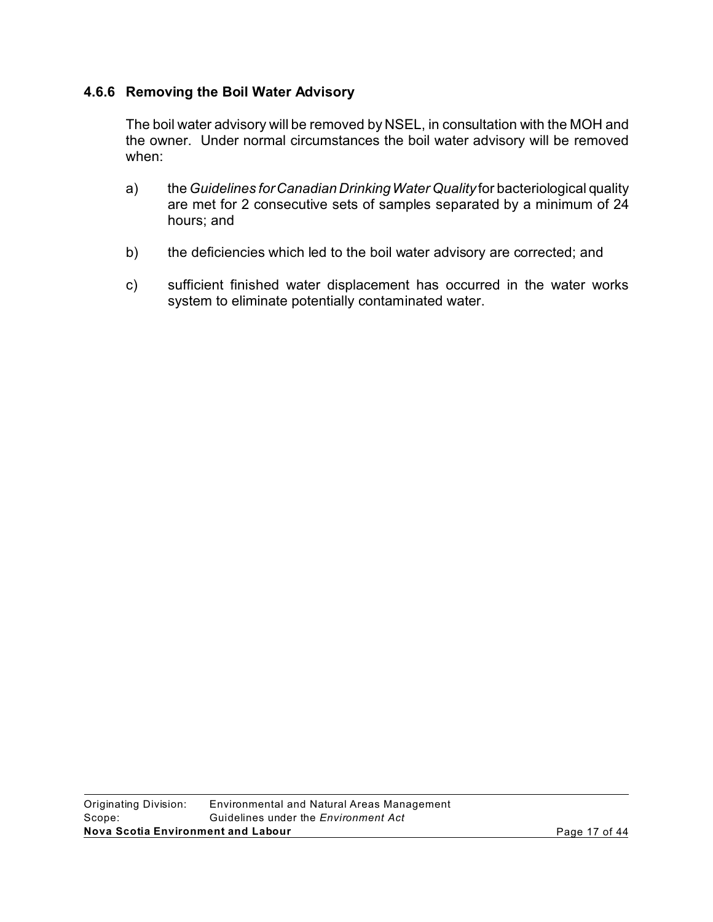### **4.6.6 Removing the Boil Water Advisory**

The boil water advisory will be removed by NSEL, in consultation with the MOH and the owner. Under normal circumstances the boil water advisory will be removed when:

- a) the *Guidelines for Canadian Drinking Water Quality* for bacteriological quality are met for 2 consecutive sets of samples separated by a minimum of 24 hours; and
- b) the deficiencies which led to the boil water advisory are corrected; and
- c) sufficient finished water displacement has occurred in the water works system to eliminate potentially contaminated water.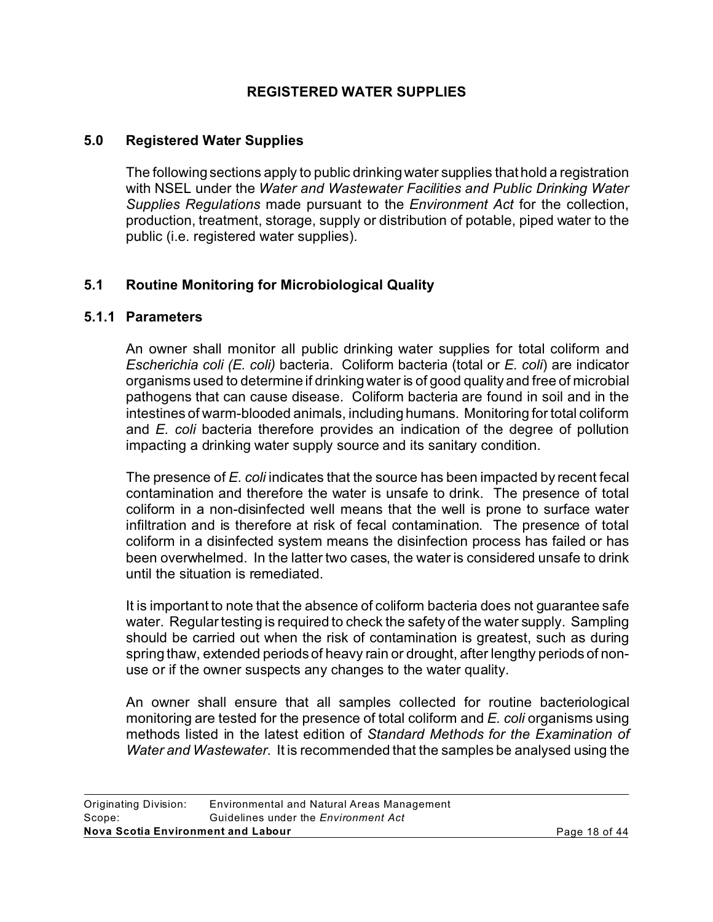### **REGISTERED WATER SUPPLIES**

#### **5.0 Registered Water Supplies**

The following sections apply to public drinking water supplies that hold a registration with NSEL under the *Water and Wastewater Facilities and Public Drinking Water Supplies Regulations* made pursuant to the *Environment Act* for the collection, production, treatment, storage, supply or distribution of potable, piped water to the public (i.e. registered water supplies).

# **5.1 Routine Monitoring for Microbiological Quality**

#### **5.1.1 Parameters**

An owner shall monitor all public drinking water supplies for total coliform and *Escherichia coli (E. coli)* bacteria. Coliform bacteria (total or *E. coli*) are indicator organisms used to determine if drinking water is of good quality and free of microbial pathogens that can cause disease. Coliform bacteria are found in soil and in the intestines of warm-blooded animals, including humans. Monitoring for total coliform and *E. coli* bacteria therefore provides an indication of the degree of pollution impacting a drinking water supply source and its sanitary condition.

The presence of *E. coli* indicates that the source has been impacted by recent fecal contamination and therefore the water is unsafe to drink. The presence of total coliform in a non-disinfected well means that the well is prone to surface water infiltration and is therefore at risk of fecal contamination. The presence of total coliform in a disinfected system means the disinfection process has failed or has been overwhelmed. In the latter two cases, the water is considered unsafe to drink until the situation is remediated.

It is important to note that the absence of coliform bacteria does not guarantee safe water. Regular testing is required to check the safety of the water supply. Sampling should be carried out when the risk of contamination is greatest, such as during spring thaw, extended periods of heavy rain or drought, after lengthy periods of nonuse or if the owner suspects any changes to the water quality.

An owner shall ensure that all samples collected for routine bacteriological monitoring are tested for the presence of total coliform and *E. coli* organisms using methods listed in the latest edition of *Standard Methods for the Examination of Water and Wastewater*. It is recommended that the samples be analysed using the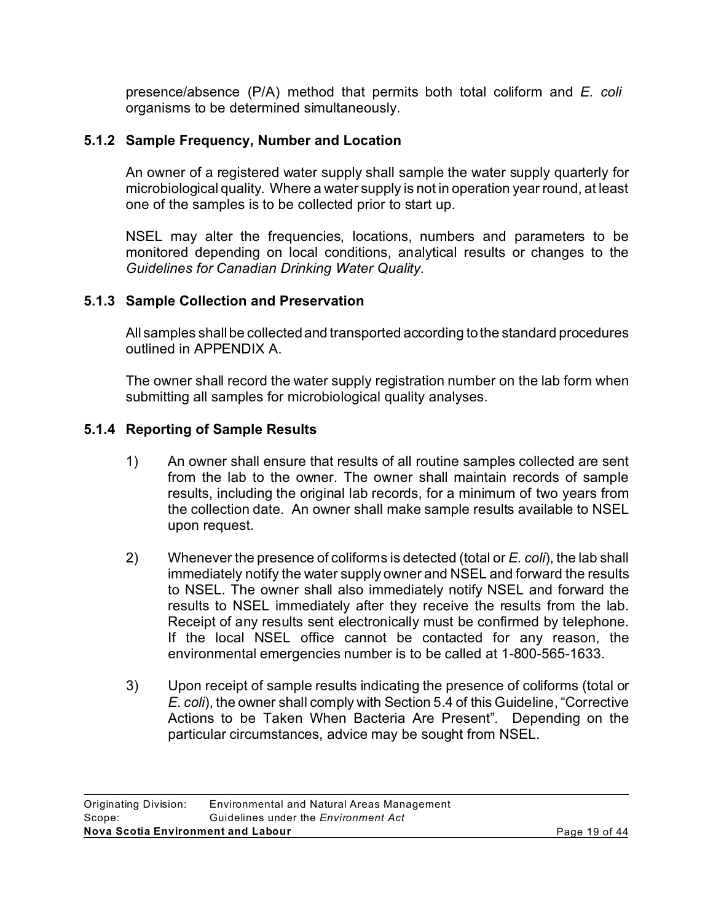presence/absence (P/A) method that permits both total coliform and *E. coli*  organisms to be determined simultaneously.

# **5.1.2 Sample Frequency, Number and Location**

An owner of a registered water supply shall sample the water supply quarterly for microbiological quality. Where a water supply is not in operation year round, at least one of the samples is to be collected prior to start up.

NSEL may alter the frequencies, locations, numbers and parameters to be monitored depending on local conditions, analytical results or changes to the *Guidelines for Canadian Drinking Water Quality*.

# **5.1.3 Sample Collection and Preservation**

All samples shall be collected and transported according to the standard procedures outlined in APPENDIX A.

The owner shall record the water supply registration number on the lab form when submitting all samples for microbiological quality analyses.

# **5.1.4 Reporting of Sample Results**

- 1) An owner shall ensure that results of all routine samples collected are sent from the lab to the owner. The owner shall maintain records of sample results, including the original lab records, for a minimum of two years from the collection date. An owner shall make sample results available to NSEL upon request.
- 2) Whenever the presence of coliforms is detected (total or *E. coli*), the lab shall immediately notify the water supply owner and NSEL and forward the results to NSEL. The owner shall also immediately notify NSEL and forward the results to NSEL immediately after they receive the results from the lab. Receipt of any results sent electronically must be confirmed by telephone. If the local NSEL office cannot be contacted for any reason, the environmental emergencies number is to be called at 1-800-565-1633.
- 3) Upon receipt of sample results indicating the presence of coliforms (total or *E. coli*), the owner shall comply with Section 5.4 of this Guideline, "Corrective Actions to be Taken When Bacteria Are Present". Depending on the particular circumstances, advice may be sought from NSEL.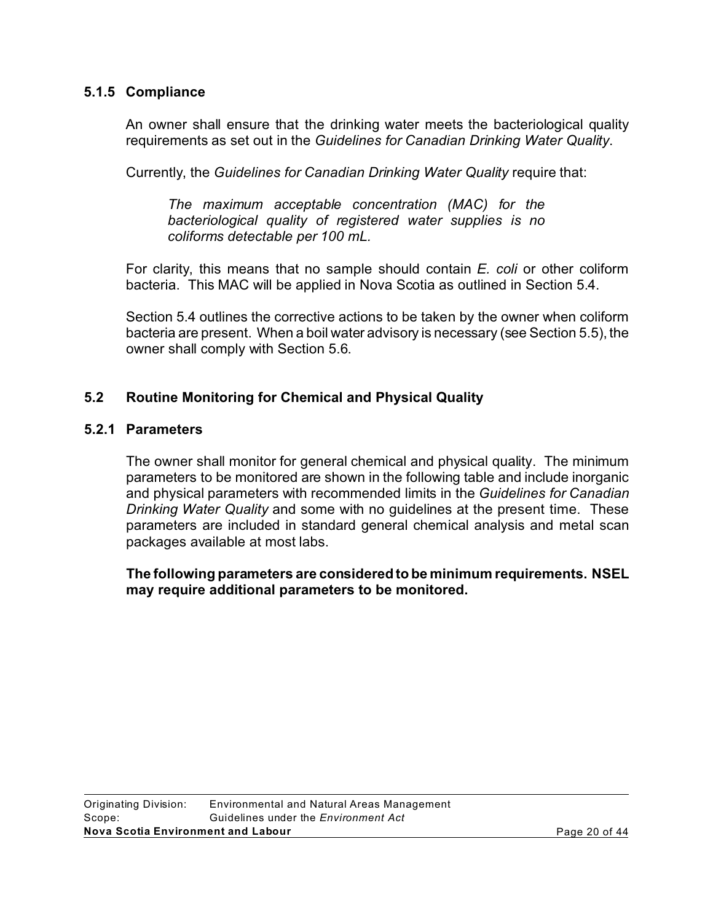#### **5.1.5 Compliance**

An owner shall ensure that the drinking water meets the bacteriological quality requirements as set out in the *Guidelines for Canadian Drinking Water Quality*.

Currently, the *Guidelines for Canadian Drinking Water Quality* require that:

*The maximum acceptable concentration (MAC) for the bacteriological quality of registered water supplies is no coliforms detectable per 100 mL.* 

For clarity, this means that no sample should contain *E. coli* or other coliform bacteria. This MAC will be applied in Nova Scotia as outlined in Section 5.4.

Section 5.4 outlines the corrective actions to be taken by the owner when coliform bacteria are present. When a boil water advisory is necessary (see Section 5.5), the owner shall comply with Section 5.6.

### **5.2 Routine Monitoring for Chemical and Physical Quality**

#### **5.2.1 Parameters**

The owner shall monitor for general chemical and physical quality. The minimum parameters to be monitored are shown in the following table and include inorganic and physical parameters with recommended limits in the *Guidelines for Canadian Drinking Water Quality* and some with no guidelines at the present time. These parameters are included in standard general chemical analysis and metal scan packages available at most labs.

**The following parameters are considered to be minimum requirements. NSEL may require additional parameters to be monitored.**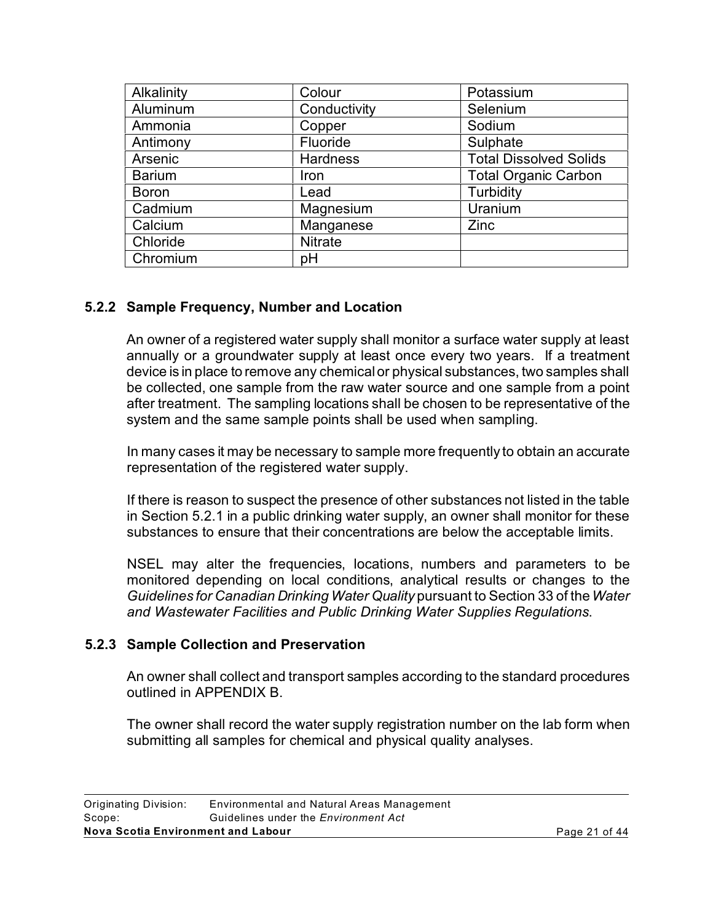| Alkalinity    | Colour          | Potassium                     |
|---------------|-----------------|-------------------------------|
| Aluminum      | Conductivity    | Selenium                      |
| Ammonia       | Copper          | Sodium                        |
| Antimony      | Fluoride        | Sulphate                      |
| Arsenic       | <b>Hardness</b> | <b>Total Dissolved Solids</b> |
| <b>Barium</b> | Iron            | <b>Total Organic Carbon</b>   |
| <b>Boron</b>  | Lead            | Turbidity                     |
| Cadmium       | Magnesium       | Uranium                       |
| Calcium       | Manganese       | Zinc                          |
| Chloride      | <b>Nitrate</b>  |                               |
| Chromium      | pH              |                               |

# **5.2.2 Sample Frequency, Number and Location**

An owner of a registered water supply shall monitor a surface water supply at least annually or a groundwater supply at least once every two years. If a treatment device is in place to remove any chemical or physical substances, two samples shall be collected, one sample from the raw water source and one sample from a point after treatment. The sampling locations shall be chosen to be representative of the system and the same sample points shall be used when sampling.

In many cases it may be necessary to sample more frequently to obtain an accurate representation of the registered water supply.

If there is reason to suspect the presence of other substances not listed in the table in Section 5.2.1 in a public drinking water supply, an owner shall monitor for these substances to ensure that their concentrations are below the acceptable limits.

NSEL may alter the frequencies, locations, numbers and parameters to be monitored depending on local conditions, analytical results or changes to the *Guidelines for Canadian Drinking Water Quality* pursuant to Section 33 of the*Water and Wastewater Facilities and Public Drinking Water Supplies Regulations*.

#### **5.2.3 Sample Collection and Preservation**

An owner shall collect and transport samples according to the standard procedures outlined in APPENDIX B.

The owner shall record the water supply registration number on the lab form when submitting all samples for chemical and physical quality analyses.

| Nova Scotia Environment and Labour |                                             | Page 21 of 44 |
|------------------------------------|---------------------------------------------|---------------|
| Scope:                             | Guidelines under the <i>Environment Act</i> |               |
| Originating Division:              | Environmental and Natural Areas Management  |               |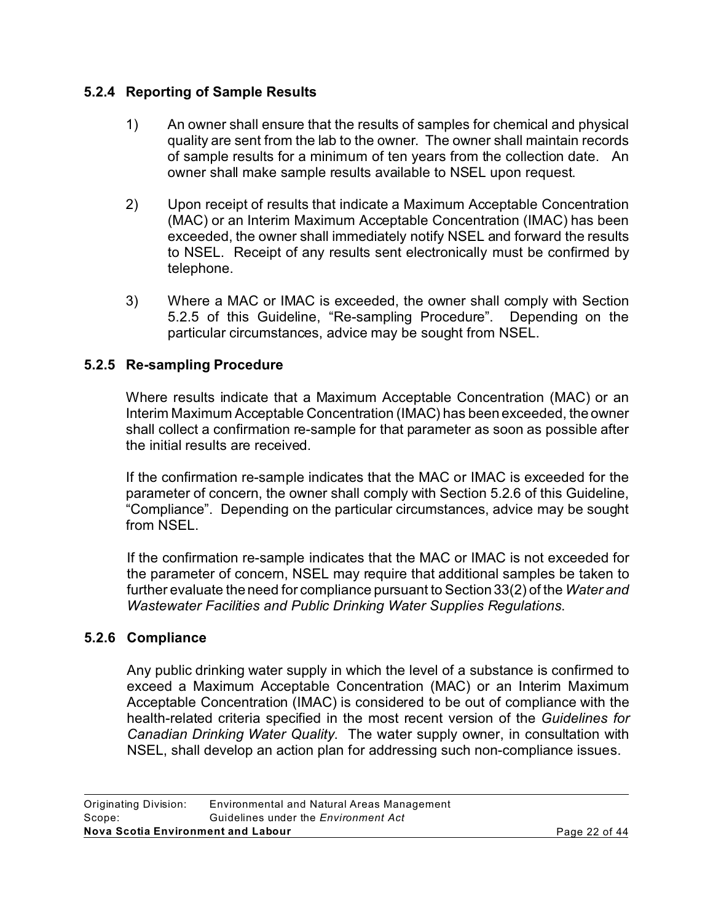# **5.2.4 Reporting of Sample Results**

- 1) An owner shall ensure that the results of samples for chemical and physical quality are sent from the lab to the owner. The owner shall maintain records of sample results for a minimum of ten years from the collection date. An owner shall make sample results available to NSEL upon request.
- 2) Upon receipt of results that indicate a Maximum Acceptable Concentration (MAC) or an Interim Maximum Acceptable Concentration (IMAC) has been exceeded, the owner shall immediately notify NSEL and forward the results to NSEL. Receipt of any results sent electronically must be confirmed by telephone.
- 3) Where a MAC or IMAC is exceeded, the owner shall comply with Section 5.2.5 of this Guideline, "Re-sampling Procedure". Depending on the particular circumstances, advice may be sought from NSEL.

# **5.2.5 Re-sampling Procedure**

Where results indicate that a Maximum Acceptable Concentration (MAC) or an Interim Maximum Acceptable Concentration (IMAC) has been exceeded, the owner shall collect a confirmation re-sample for that parameter as soon as possible after the initial results are received.

If the confirmation re-sample indicates that the MAC or IMAC is exceeded for the parameter of concern, the owner shall comply with Section 5.2.6 of this Guideline, "Compliance". Depending on the particular circumstances, advice may be sought from NSEL.

If the confirmation re-sample indicates that the MAC or IMAC is not exceeded for the parameter of concern, NSEL may require that additional samples be taken to further evaluate the need for compliance pursuant to Section 33(2) of the *Water and Wastewater Facilities and Public Drinking Water Supplies Regulations*.

#### **5.2.6 Compliance**

Any public drinking water supply in which the level of a substance is confirmed to exceed a Maximum Acceptable Concentration (MAC) or an Interim Maximum Acceptable Concentration (IMAC) is considered to be out of compliance with the health-related criteria specified in the most recent version of the *Guidelines for Canadian Drinking Water Quality*. The water supply owner, in consultation with NSEL, shall develop an action plan for addressing such non-compliance issues.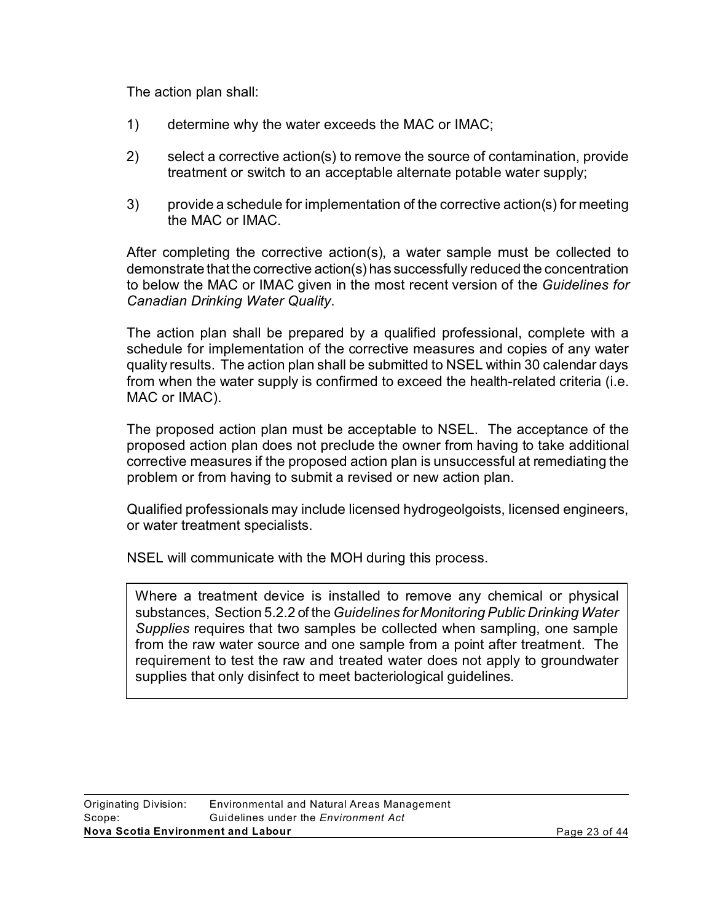The action plan shall:

- 1) determine why the water exceeds the MAC or IMAC;
- 2) select a corrective action(s) to remove the source of contamination, provide treatment or switch to an acceptable alternate potable water supply;
- 3) provide a schedule for implementation of the corrective action(s) for meeting the MAC or IMAC.

After completing the corrective action(s), a water sample must be collected to demonstrate that the corrective action(s) has successfully reduced the concentration to below the MAC or IMAC given in the most recent version of the *Guidelines for Canadian Drinking Water Quality*.

The action plan shall be prepared by a qualified professional, complete with a schedule for implementation of the corrective measures and copies of any water quality results. The action plan shall be submitted to NSEL within 30 calendar days from when the water supply is confirmed to exceed the health-related criteria (i.e. MAC or IMAC).

The proposed action plan must be acceptable to NSEL. The acceptance of the proposed action plan does not preclude the owner from having to take additional corrective measures if the proposed action plan is unsuccessful at remediating the problem or from having to submit a revised or new action plan.

Qualified professionals may include licensed hydrogeolgoists, licensed engineers, or water treatment specialists.

NSEL will communicate with the MOH during this process.

Where a treatment device is installed to remove any chemical or physical substances, Section 5.2.2 of the *Guidelines for Monitoring Public Drinking Water Supplies* requires that two samples be collected when sampling, one sample from the raw water source and one sample from a point after treatment. The requirement to test the raw and treated water does not apply to groundwater supplies that only disinfect to meet bacteriological guidelines.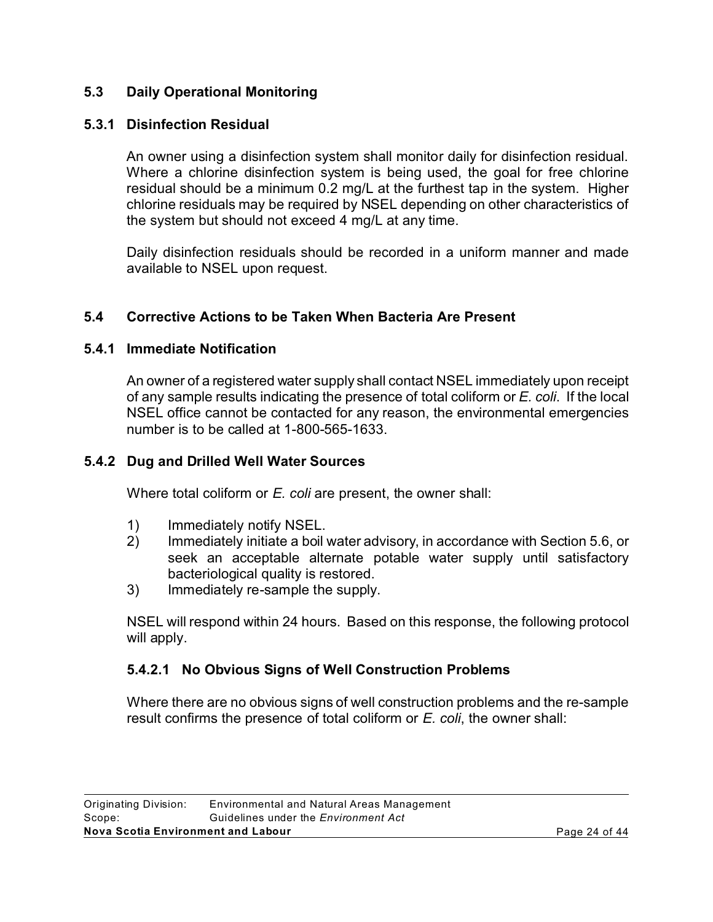# **5.3 Daily Operational Monitoring**

# **5.3.1 Disinfection Residual**

An owner using a disinfection system shall monitor daily for disinfection residual. Where a chlorine disinfection system is being used, the goal for free chlorine residual should be a minimum 0.2 mg/L at the furthest tap in the system. Higher chlorine residuals may be required by NSEL depending on other characteristics of the system but should not exceed 4 mg/L at any time.

Daily disinfection residuals should be recorded in a uniform manner and made available to NSEL upon request.

# **5.4 Corrective Actions to be Taken When Bacteria Are Present**

### **5.4.1 Immediate Notification**

An owner of a registered water supply shall contact NSEL immediately upon receipt of any sample results indicating the presence of total coliform or *E. coli*. If the local NSEL office cannot be contacted for any reason, the environmental emergencies number is to be called at 1-800-565-1633.

# **5.4.2 Dug and Drilled Well Water Sources**

Where total coliform or *E. coli* are present, the owner shall:

- 1) Immediately notify NSEL.
- 2) Immediately initiate a boil water advisory, in accordance with Section 5.6, or seek an acceptable alternate potable water supply until satisfactory bacteriological quality is restored.
- 3) Immediately re-sample the supply.

NSEL will respond within 24 hours. Based on this response, the following protocol will apply.

# **5.4.2.1 No Obvious Signs of Well Construction Problems**

Where there are no obvious signs of well construction problems and the re-sample result confirms the presence of total coliform or *E. coli*, the owner shall: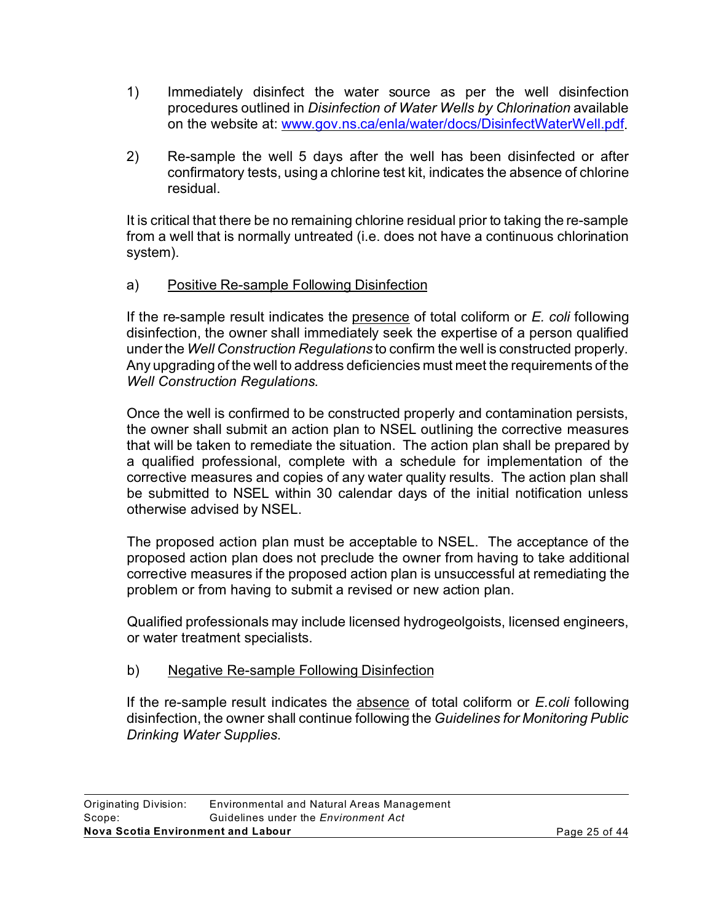- 1) Immediately disinfect the water source as per the well disinfection procedures outlined in *Disinfection of Water Wells by Chlorination* available on the website at: www.gov.ns.ca/enla/water/docs/DisinfectWaterWell.pdf.
- 2) Re-sample the well 5 days after the well has been disinfected or after confirmatory tests, using a chlorine test kit, indicates the absence of chlorine residual.

It is critical that there be no remaining chlorine residual prior to taking the re-sample from a well that is normally untreated (i.e. does not have a continuous chlorination system).

# a) Positive Re-sample Following Disinfection

If the re-sample result indicates the presence of total coliform or *E. coli* following disinfection, the owner shall immediately seek the expertise of a person qualified under the *Well Construction Regulations* to confirm the well is constructed properly. Any upgrading of the well to address deficiencies must meet the requirements of the *Well Construction Regulations*.

Once the well is confirmed to be constructed properly and contamination persists, the owner shall submit an action plan to NSEL outlining the corrective measures that will be taken to remediate the situation. The action plan shall be prepared by a qualified professional, complete with a schedule for implementation of the corrective measures and copies of any water quality results. The action plan shall be submitted to NSEL within 30 calendar days of the initial notification unless otherwise advised by NSEL.

The proposed action plan must be acceptable to NSEL. The acceptance of the proposed action plan does not preclude the owner from having to take additional corrective measures if the proposed action plan is unsuccessful at remediating the problem or from having to submit a revised or new action plan.

Qualified professionals may include licensed hydrogeolgoists, licensed engineers, or water treatment specialists.

#### b) Negative Re-sample Following Disinfection

If the re-sample result indicates the absence of total coliform or *E.coli* following disinfection, the owner shall continue following the *Guidelines for Monitoring Public Drinking Water Supplies*.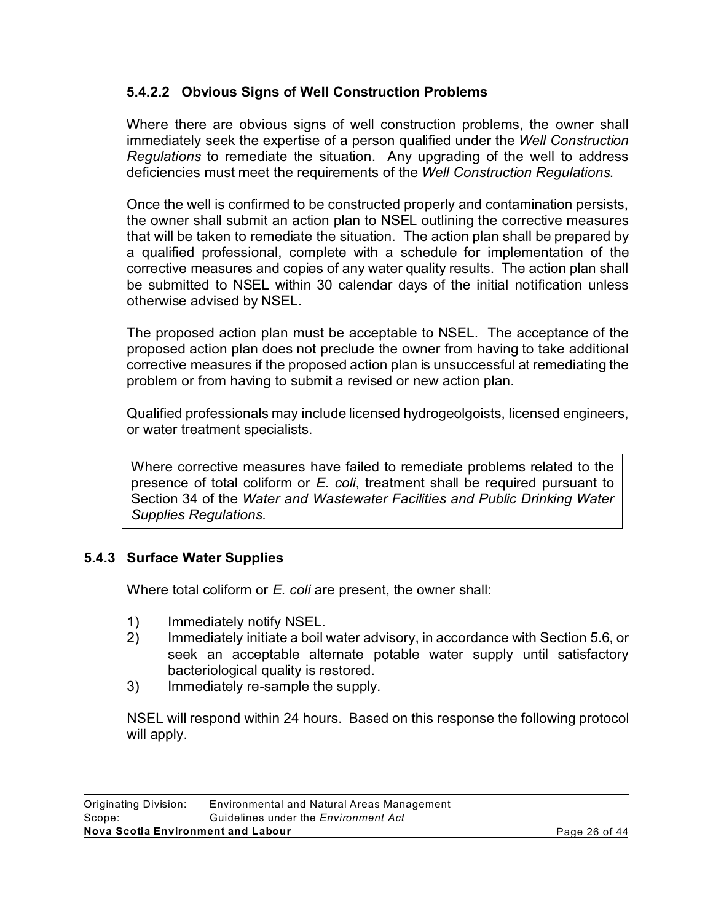# **5.4.2.2 Obvious Signs of Well Construction Problems**

Where there are obvious signs of well construction problems, the owner shall immediately seek the expertise of a person qualified under the *Well Construction Regulations* to remediate the situation. Any upgrading of the well to address deficiencies must meet the requirements of the *Well Construction Regulations*.

Once the well is confirmed to be constructed properly and contamination persists, the owner shall submit an action plan to NSEL outlining the corrective measures that will be taken to remediate the situation. The action plan shall be prepared by a qualified professional, complete with a schedule for implementation of the corrective measures and copies of any water quality results. The action plan shall be submitted to NSEL within 30 calendar days of the initial notification unless otherwise advised by NSEL.

The proposed action plan must be acceptable to NSEL. The acceptance of the proposed action plan does not preclude the owner from having to take additional corrective measures if the proposed action plan is unsuccessful at remediating the problem or from having to submit a revised or new action plan.

Qualified professionals may include licensed hydrogeolgoists, licensed engineers, or water treatment specialists.

Where corrective measures have failed to remediate problems related to the presence of total coliform or *E. coli*, treatment shall be required pursuant to Section 34 of the *Water and Wastewater Facilities and Public Drinking Water Supplies Regulations.*

# **5.4.3 Surface Water Supplies**

Where total coliform or *E. coli* are present, the owner shall:

- 1) Immediately notify NSEL.
- 2) Immediately initiate a boil water advisory, in accordance with Section 5.6, or seek an acceptable alternate potable water supply until satisfactory bacteriological quality is restored.
- 3) Immediately re-sample the supply.

NSEL will respond within 24 hours. Based on this response the following protocol will apply.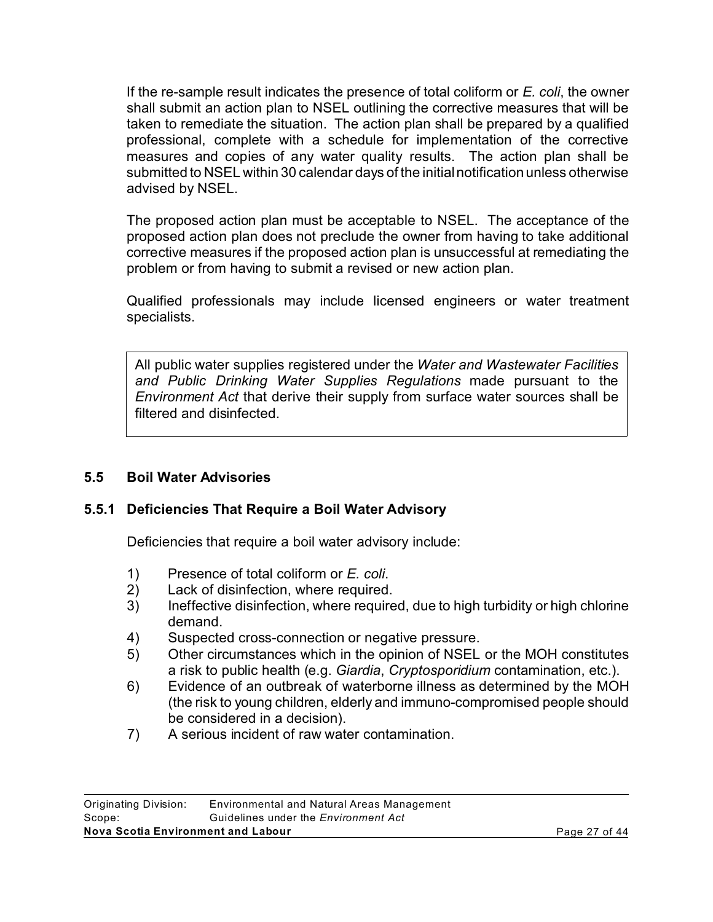If the re-sample result indicates the presence of total coliform or *E. coli*, the owner shall submit an action plan to NSEL outlining the corrective measures that will be taken to remediate the situation. The action plan shall be prepared by a qualified professional, complete with a schedule for implementation of the corrective measures and copies of any water quality results. The action plan shall be submitted to NSEL within 30 calendar days of the initial notification unless otherwise advised by NSEL.

The proposed action plan must be acceptable to NSEL. The acceptance of the proposed action plan does not preclude the owner from having to take additional corrective measures if the proposed action plan is unsuccessful at remediating the problem or from having to submit a revised or new action plan.

Qualified professionals may include licensed engineers or water treatment specialists.

All public water supplies registered under the *Water and Wastewater Facilities and Public Drinking Water Supplies Regulations* made pursuant to the *Environment Act* that derive their supply from surface water sources shall be filtered and disinfected.

# **5.5 Boil Water Advisories**

#### **5.5.1 Deficiencies That Require a Boil Water Advisory**

Deficiencies that require a boil water advisory include:

- 1) Presence of total coliform or *E. coli*.
- Lack of disinfection, where required.
- 3) Ineffective disinfection, where required, due to high turbidity or high chlorine demand.
- 4) Suspected cross-connection or negative pressure.
- 5) Other circumstances which in the opinion of NSEL or the MOH constitutes a risk to public health (e.g. *Giardia*, *Cryptosporidium* contamination, etc.).
- 6) Evidence of an outbreak of waterborne illness as determined by the MOH (the risk to young children, elderly and immuno-compromised people should be considered in a decision).
- 7) A serious incident of raw water contamination.

| Originating Division:              | Environmental and Natural Areas Management  |               |
|------------------------------------|---------------------------------------------|---------------|
| Scope:                             | Guidelines under the <i>Environment Act</i> |               |
| Nova Scotia Environment and Labour |                                             | Page 27 of 44 |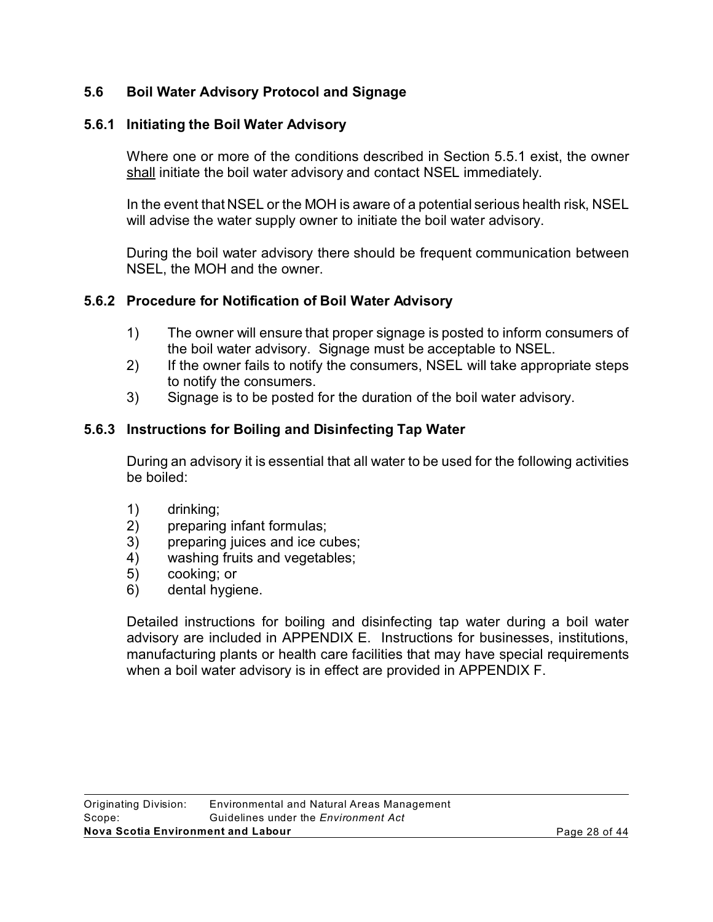# **5.6 Boil Water Advisory Protocol and Signage**

### **5.6.1 Initiating the Boil Water Advisory**

Where one or more of the conditions described in Section 5.5.1 exist, the owner shall initiate the boil water advisory and contact NSEL immediately.

In the event that NSEL or the MOH is aware of a potential serious health risk, NSEL will advise the water supply owner to initiate the boil water advisory.

During the boil water advisory there should be frequent communication between NSEL, the MOH and the owner.

### **5.6.2 Procedure for Notification of Boil Water Advisory**

- 1) The owner will ensure that proper signage is posted to inform consumers of the boil water advisory. Signage must be acceptable to NSEL.
- 2) If the owner fails to notify the consumers, NSEL will take appropriate steps to notify the consumers.
- 3) Signage is to be posted for the duration of the boil water advisory.

# **5.6.3 Instructions for Boiling and Disinfecting Tap Water**

During an advisory it is essential that all water to be used for the following activities be boiled:

- 1) drinking;
- 2) preparing infant formulas;
- 3) preparing juices and ice cubes;
- 4) washing fruits and vegetables;
- 5) cooking; or
- 6) dental hygiene.

Detailed instructions for boiling and disinfecting tap water during a boil water advisory are included in APPENDIX E. Instructions for businesses, institutions, manufacturing plants or health care facilities that may have special requirements when a boil water advisory is in effect are provided in APPENDIX F.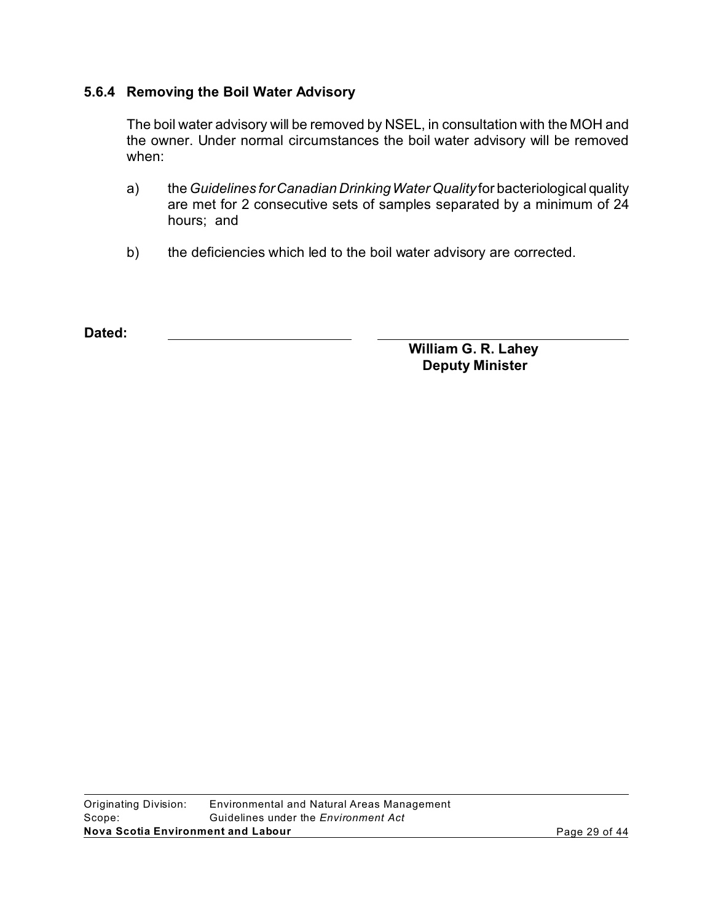### **5.6.4 Removing the Boil Water Advisory**

The boil water advisory will be removed by NSEL, in consultation with the MOH and the owner. Under normal circumstances the boil water advisory will be removed when:

- a) the *Guidelines for Canadian Drinking Water Quality* for bacteriological quality are met for 2 consecutive sets of samples separated by a minimum of 24 hours; and
- b) the deficiencies which led to the boil water advisory are corrected.

**Dated:** 

**William G. R. Lahey Deputy Minister**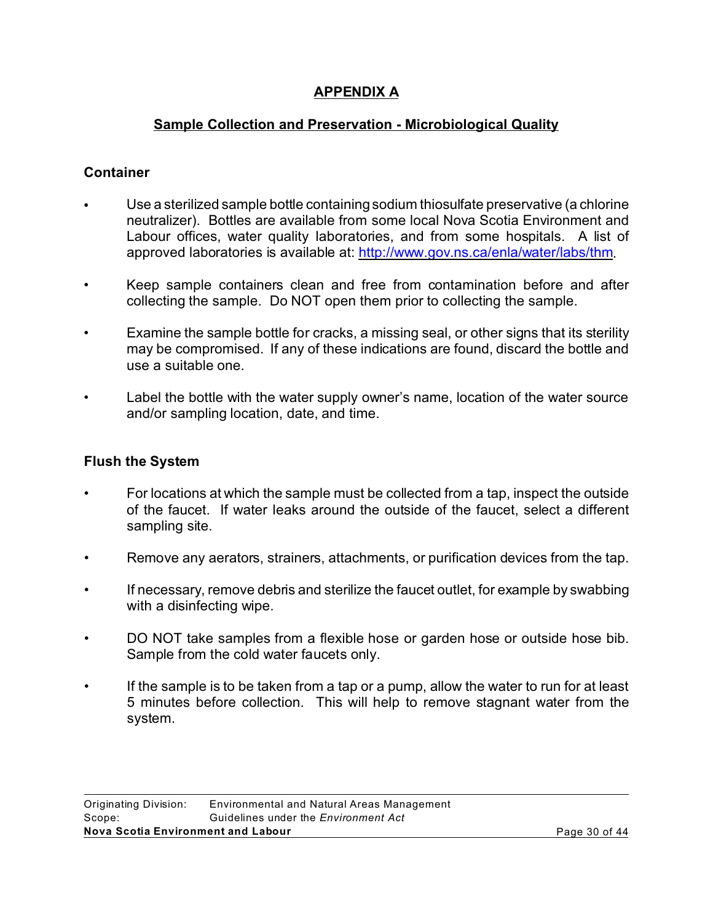# **APPENDIX A**

# **Sample Collection and Preservation - Microbiological Quality**

# **Container**

- Use a sterilized sample bottle containing sodium thiosulfate preservative (a chlorine neutralizer). Bottles are available from some local Nova Scotia Environment and Labour offices, water quality laboratories, and from some hospitals. A list of approved laboratories is available at: http://www.gov.ns.ca/enla/water/labs/thm.
- Keep sample containers clean and free from contamination before and after collecting the sample. Do NOT open them prior to collecting the sample.
- Examine the sample bottle for cracks, a missing seal, or other signs that its sterility may be compromised. If any of these indications are found, discard the bottle and use a suitable one.
- Label the bottle with the water supply owner's name, location of the water source and/or sampling location, date, and time.

#### **Flush the System**

- For locations at which the sample must be collected from a tap, inspect the outside of the faucet. If water leaks around the outside of the faucet, select a different sampling site.
- Remove any aerators, strainers, attachments, or purification devices from the tap.
- If necessary, remove debris and sterilize the faucet outlet, for example by swabbing with a disinfecting wipe.
- DO NOT take samples from a flexible hose or garden hose or outside hose bib. Sample from the cold water faucets only.
- If the sample is to be taken from a tap or a pump, allow the water to run for at least 5 minutes before collection. This will help to remove stagnant water from the system.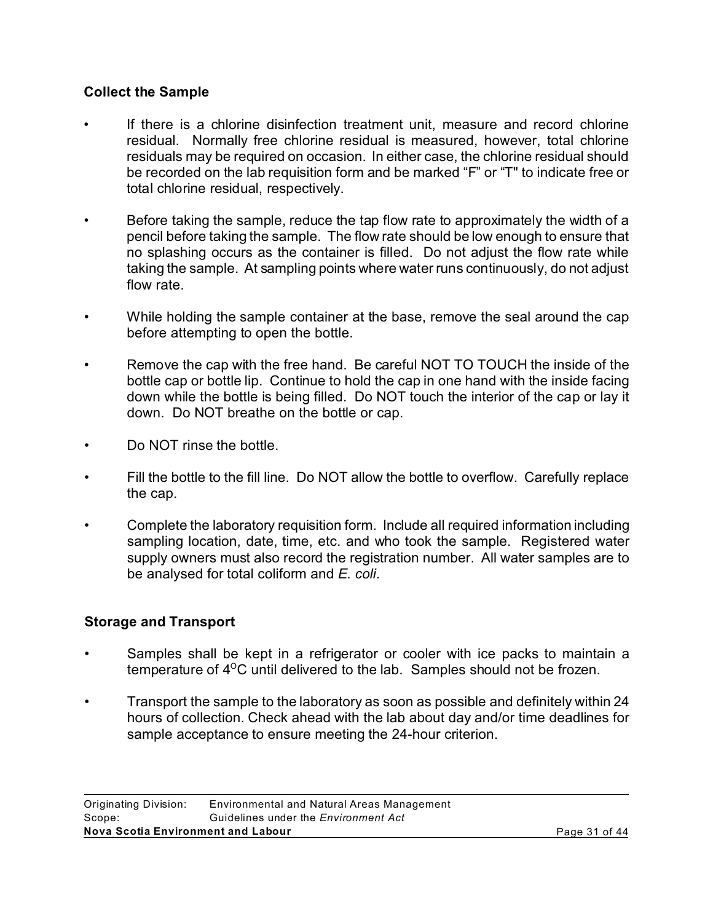### **Collect the Sample**

- If there is a chlorine disinfection treatment unit, measure and record chlorine residual. Normally free chlorine residual is measured, however, total chlorine residuals may be required on occasion. In either case, the chlorine residual should be recorded on the lab requisition form and be marked "F" or "T" to indicate free or total chlorine residual, respectively.
- Before taking the sample, reduce the tap flow rate to approximately the width of a pencil before taking the sample. The flow rate should be low enough to ensure that no splashing occurs as the container is filled. Do not adjust the flow rate while taking the sample. At sampling points where water runs continuously, do not adjust flow rate.
- While holding the sample container at the base, remove the seal around the cap before attempting to open the bottle.
- Remove the cap with the free hand. Be careful NOT TO TOUCH the inside of the bottle cap or bottle lip. Continue to hold the cap in one hand with the inside facing down while the bottle is being filled. Do NOT touch the interior of the cap or lay it down. Do NOT breathe on the bottle or cap.
- Do NOT rinse the bottle.
- Fill the bottle to the fill line. Do NOT allow the bottle to overflow. Carefully replace the cap.
- Complete the laboratory requisition form. Include all required information including sampling location, date, time, etc. and who took the sample. Registered water supply owners must also record the registration number. All water samples are to be analysed for total coliform and *E. coli*.

#### **Storage and Transport**

- Samples shall be kept in a refrigerator or cooler with ice packs to maintain a temperature of  $4^{\circ}$ C until delivered to the lab. Samples should not be frozen.
- Transport the sample to the laboratory as soon as possible and definitely within 24 hours of collection. Check ahead with the lab about day and/or time deadlines for sample acceptance to ensure meeting the 24-hour criterion.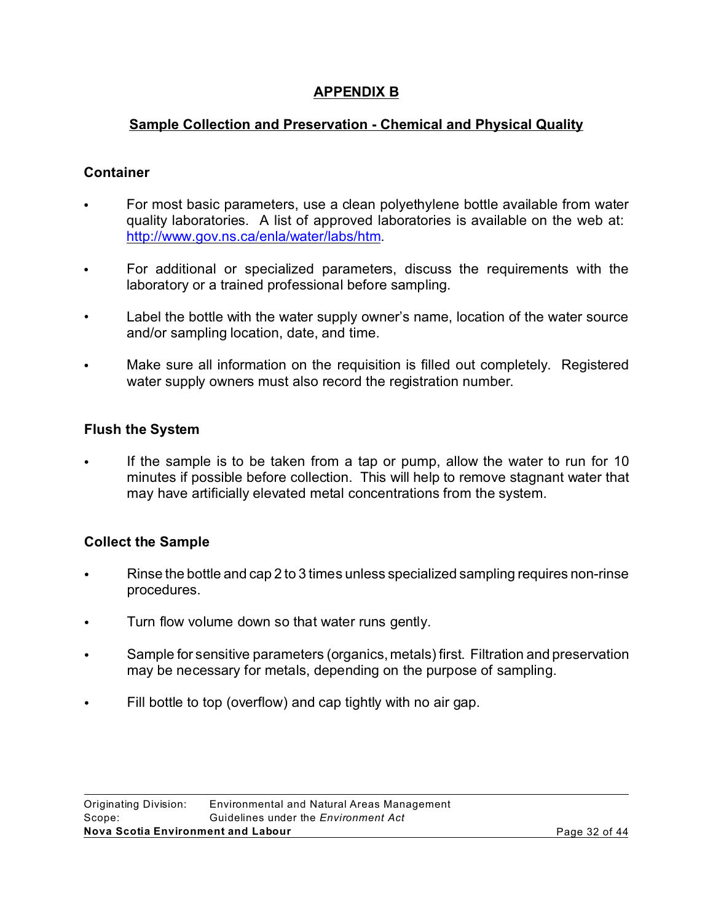# **APPENDIX B**

# **Sample Collection and Preservation - Chemical and Physical Quality**

# **Container**

- For most basic parameters, use a clean polyethylene bottle available from water quality laboratories. A list of approved laboratories is available on the web at: http://www.gov.ns.ca/enla/water/labs/htm.
- For additional or specialized parameters, discuss the requirements with the laboratory or a trained professional before sampling.
- Label the bottle with the water supply owner's name, location of the water source and/or sampling location, date, and time.
- Make sure all information on the requisition is filled out completely. Registered water supply owners must also record the registration number.

# **Flush the System**

If the sample is to be taken from a tap or pump, allow the water to run for 10 minutes if possible before collection. This will help to remove stagnant water that may have artificially elevated metal concentrations from the system.

# **Collect the Sample**

- Rinse the bottle and cap 2 to 3 times unless specialized sampling requires non-rinse procedures.
- Turn flow volume down so that water runs gently.
- C Sample for sensitive parameters (organics, metals) first. Filtration and preservation may be necessary for metals, depending on the purpose of sampling.
- Fill bottle to top (overflow) and cap tightly with no air gap.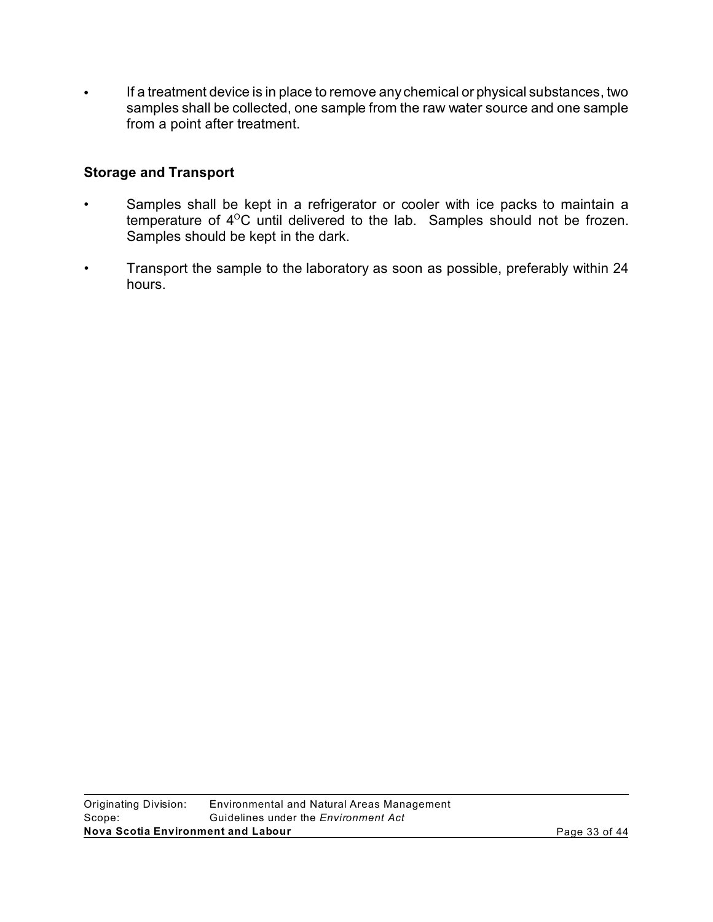Fa treatment device is in place to remove any chemical or physical substances, two samples shall be collected, one sample from the raw water source and one sample from a point after treatment.

### **Storage and Transport**

- Samples shall be kept in a refrigerator or cooler with ice packs to maintain a temperature of 4<sup>o</sup>C until delivered to the lab. Samples should not be frozen. Samples should be kept in the dark.
- Transport the sample to the laboratory as soon as possible, preferably within 24 hours.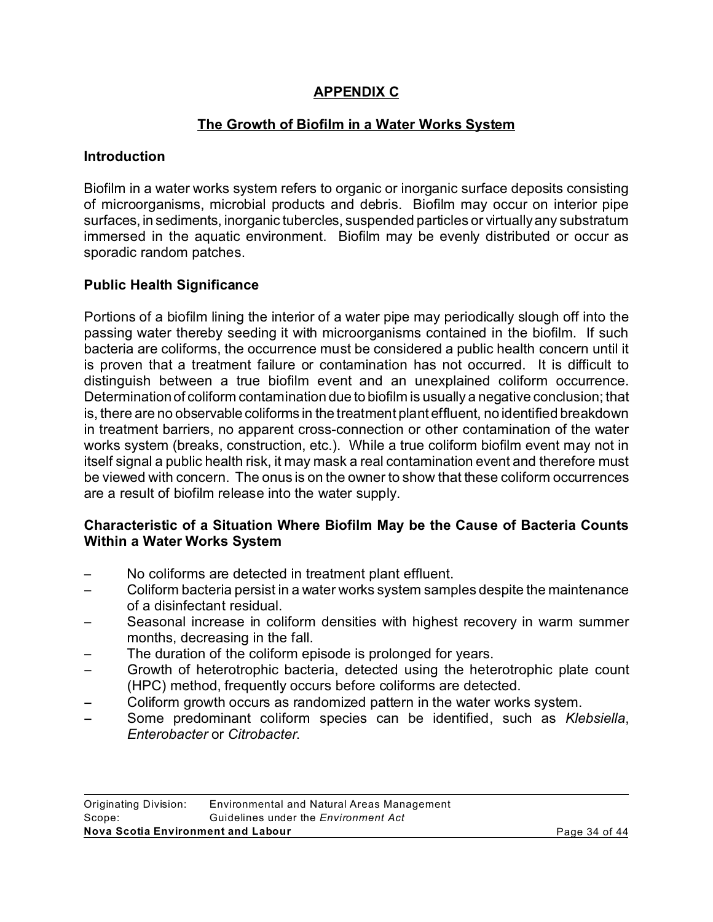# **APPENDIX C**

# **The Growth of Biofilm in a Water Works System**

#### **Introduction**

Biofilm in a water works system refers to organic or inorganic surface deposits consisting of microorganisms, microbial products and debris. Biofilm may occur on interior pipe surfaces, in sediments, inorganic tubercles, suspended particles or virtually any substratum immersed in the aquatic environment. Biofilm may be evenly distributed or occur as sporadic random patches.

# **Public Health Significance**

Portions of a biofilm lining the interior of a water pipe may periodically slough off into the passing water thereby seeding it with microorganisms contained in the biofilm. If such bacteria are coliforms, the occurrence must be considered a public health concern until it is proven that a treatment failure or contamination has not occurred. It is difficult to distinguish between a true biofilm event and an unexplained coliform occurrence. Determination of coliform contamination due to biofilm is usually a negative conclusion; that is, there are no observable coliforms in the treatment plant effluent, no identified breakdown in treatment barriers, no apparent cross-connection or other contamination of the water works system (breaks, construction, etc.). While a true coliform biofilm event may not in itself signal a public health risk, it may mask a real contamination event and therefore must be viewed with concern. The onus is on the owner to show that these coliform occurrences are a result of biofilm release into the water supply.

### **Characteristic of a Situation Where Biofilm May be the Cause of Bacteria Counts Within a Water Works System**

- No coliforms are detected in treatment plant effluent.
- Coliform bacteria persist in a water works system samples despite the maintenance of a disinfectant residual.
- Seasonal increase in coliform densities with highest recovery in warm summer months, decreasing in the fall.
- The duration of the coliform episode is prolonged for years.
- Growth of heterotrophic bacteria, detected using the heterotrophic plate count (HPC) method, frequently occurs before coliforms are detected.
- $\sim$  Coliform growth occurs as randomized pattern in the water works system.
- Some predominant coliform species can be identified, such as *Klebsiella*, *Enterobacter* or *Citrobacter*.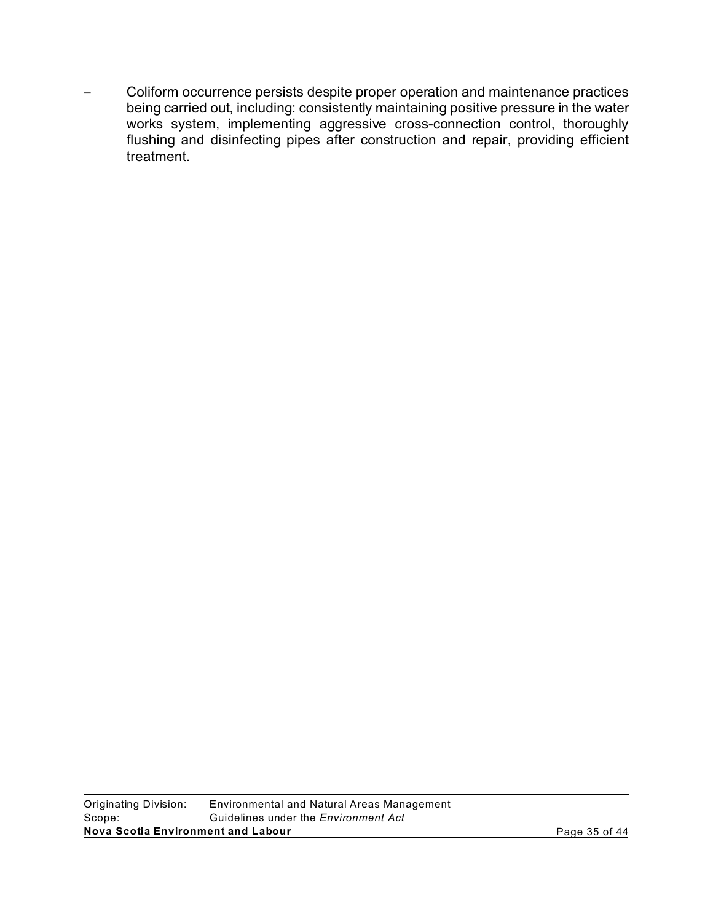Coliform occurrence persists despite proper operation and maintenance practices being carried out, including: consistently maintaining positive pressure in the water works system, implementing aggressive cross-connection control, thoroughly flushing and disinfecting pipes after construction and repair, providing efficient treatment.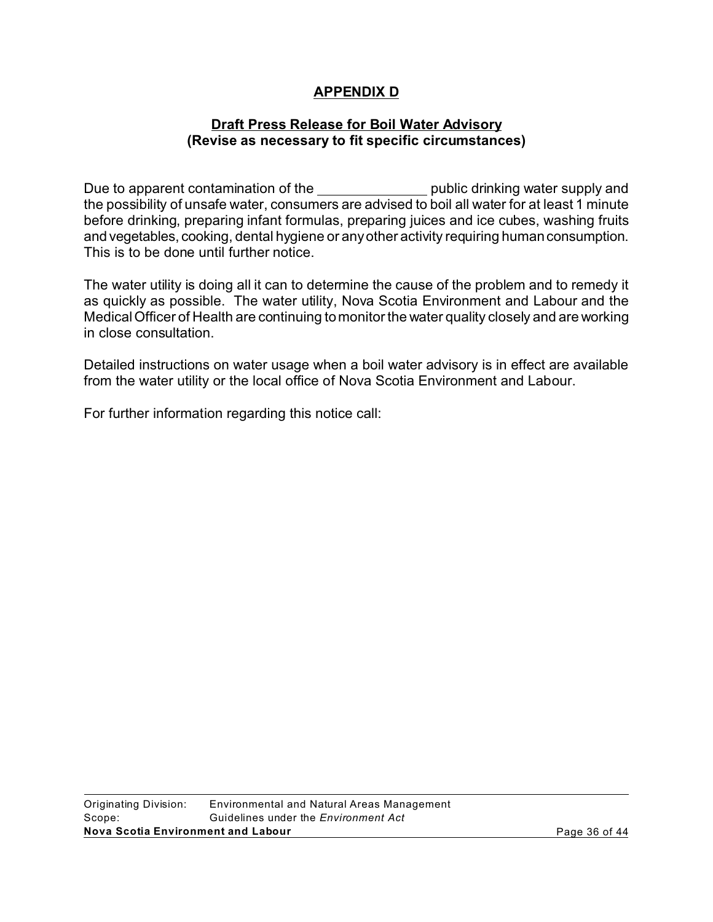# **APPENDIX D**

#### **Draft Press Release for Boil Water Advisory (Revise as necessary to fit specific circumstances)**

Due to apparent contamination of the public drinking water supply and the possibility of unsafe water, consumers are advised to boil all water for at least 1 minute before drinking, preparing infant formulas, preparing juices and ice cubes, washing fruits and vegetables, cooking, dental hygiene or any other activity requiring human consumption. This is to be done until further notice.

The water utility is doing all it can to determine the cause of the problem and to remedy it as quickly as possible. The water utility, Nova Scotia Environment and Labour and the Medical Officer of Health are continuing to monitor the water quality closely and are working in close consultation.

Detailed instructions on water usage when a boil water advisory is in effect are available from the water utility or the local office of Nova Scotia Environment and Labour.

For further information regarding this notice call: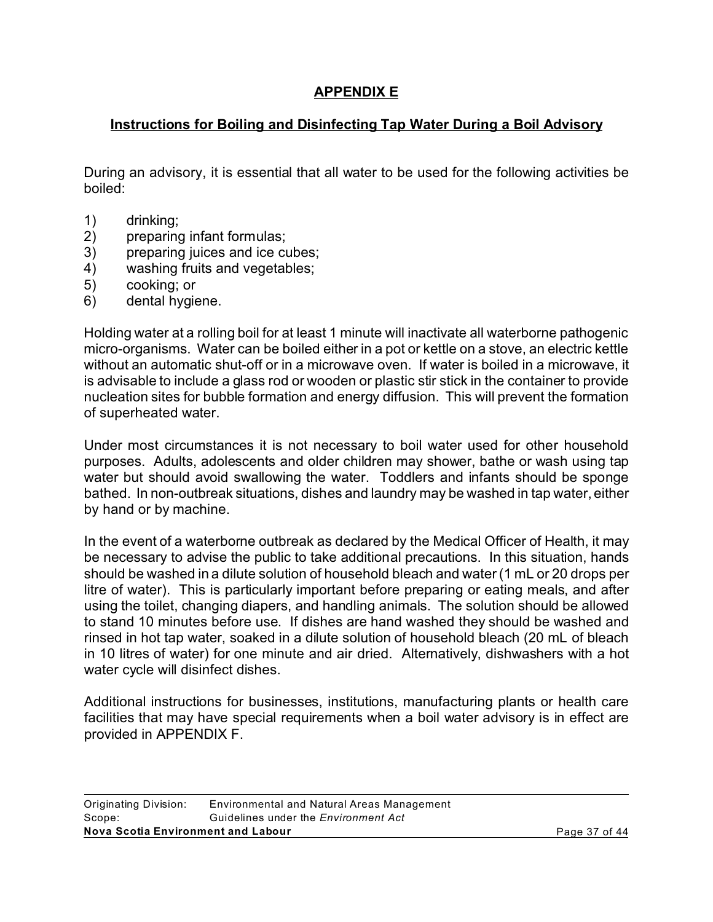# **APPENDIX E**

# **Instructions for Boiling and Disinfecting Tap Water During a Boil Advisory**

During an advisory, it is essential that all water to be used for the following activities be boiled:

- 1) drinking;
- 2) preparing infant formulas;
- 3) preparing juices and ice cubes;
- 4) washing fruits and vegetables;
- 5) cooking; or
- 6) dental hygiene.

Holding water at a rolling boil for at least 1 minute will inactivate all waterborne pathogenic micro-organisms. Water can be boiled either in a pot or kettle on a stove, an electric kettle without an automatic shut-off or in a microwave oven. If water is boiled in a microwave, it is advisable to include a glass rod or wooden or plastic stir stick in the container to provide nucleation sites for bubble formation and energy diffusion. This will prevent the formation of superheated water.

Under most circumstances it is not necessary to boil water used for other household purposes. Adults, adolescents and older children may shower, bathe or wash using tap water but should avoid swallowing the water. Toddlers and infants should be sponge bathed. In non-outbreak situations, dishes and laundry may be washed in tap water, either by hand or by machine.

In the event of a waterborne outbreak as declared by the Medical Officer of Health, it may be necessary to advise the public to take additional precautions. In this situation, hands should be washed in a dilute solution of household bleach and water (1 mL or 20 drops per litre of water). This is particularly important before preparing or eating meals, and after using the toilet, changing diapers, and handling animals. The solution should be allowed to stand 10 minutes before use. If dishes are hand washed they should be washed and rinsed in hot tap water, soaked in a dilute solution of household bleach (20 mL of bleach in 10 litres of water) for one minute and air dried. Alternatively, dishwashers with a hot water cycle will disinfect dishes.

Additional instructions for businesses, institutions, manufacturing plants or health care facilities that may have special requirements when a boil water advisory is in effect are provided in APPENDIX F.

| Originating Division:              | Environmental and Natural Areas Management  |  |
|------------------------------------|---------------------------------------------|--|
| Scope:                             | Guidelines under the <i>Environment Act</i> |  |
| Nova Scotia Environment and Labour |                                             |  |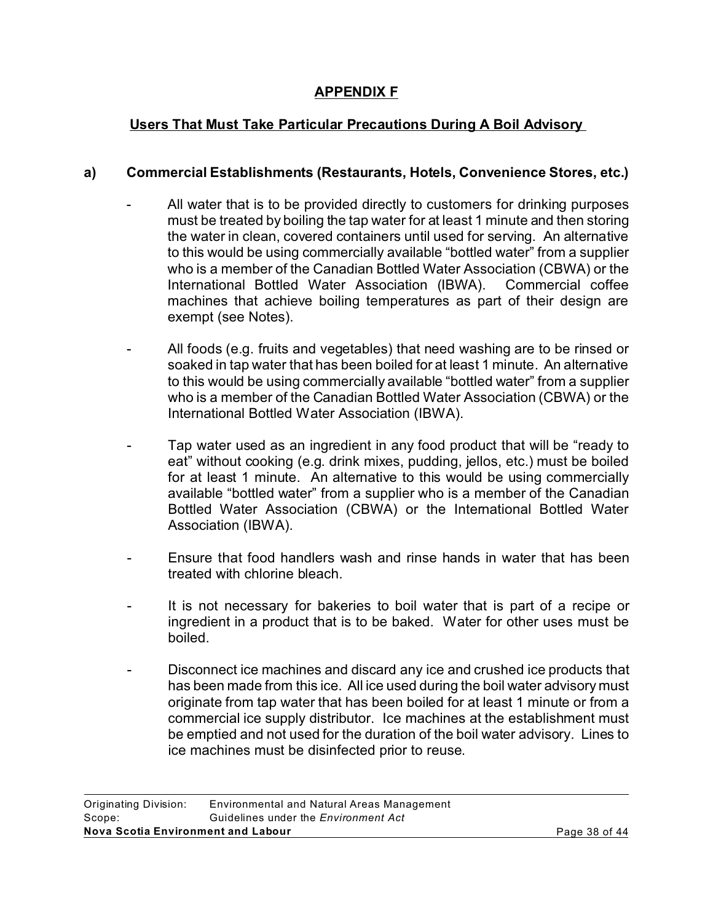# **APPENDIX F**

# **Users That Must Take Particular Precautions During A Boil Advisory**

### **a) Commercial Establishments (Restaurants, Hotels, Convenience Stores, etc.)**

- All water that is to be provided directly to customers for drinking purposes must be treated by boiling the tap water for at least 1 minute and then storing the water in clean, covered containers until used for serving. An alternative to this would be using commercially available "bottled water" from a supplier who is a member of the Canadian Bottled Water Association (CBWA) or the International Bottled Water Association (IBWA). Commercial coffee machines that achieve boiling temperatures as part of their design are exempt (see Notes).
- All foods (e.g. fruits and vegetables) that need washing are to be rinsed or soaked in tap water that has been boiled for at least 1 minute. An alternative to this would be using commercially available "bottled water" from a supplier who is a member of the Canadian Bottled Water Association (CBWA) or the International Bottled Water Association (IBWA).
- Tap water used as an ingredient in any food product that will be "ready to eat" without cooking (e.g. drink mixes, pudding, jellos, etc.) must be boiled for at least 1 minute. An alternative to this would be using commercially available "bottled water" from a supplier who is a member of the Canadian Bottled Water Association (CBWA) or the International Bottled Water Association (IBWA).
- Ensure that food handlers wash and rinse hands in water that has been treated with chlorine bleach.
- It is not necessary for bakeries to boil water that is part of a recipe or ingredient in a product that is to be baked. Water for other uses must be boiled.
- Disconnect ice machines and discard any ice and crushed ice products that has been made from this ice. All ice used during the boil water advisory must originate from tap water that has been boiled for at least 1 minute or from a commercial ice supply distributor. Ice machines at the establishment must be emptied and not used for the duration of the boil water advisory. Lines to ice machines must be disinfected prior to reuse.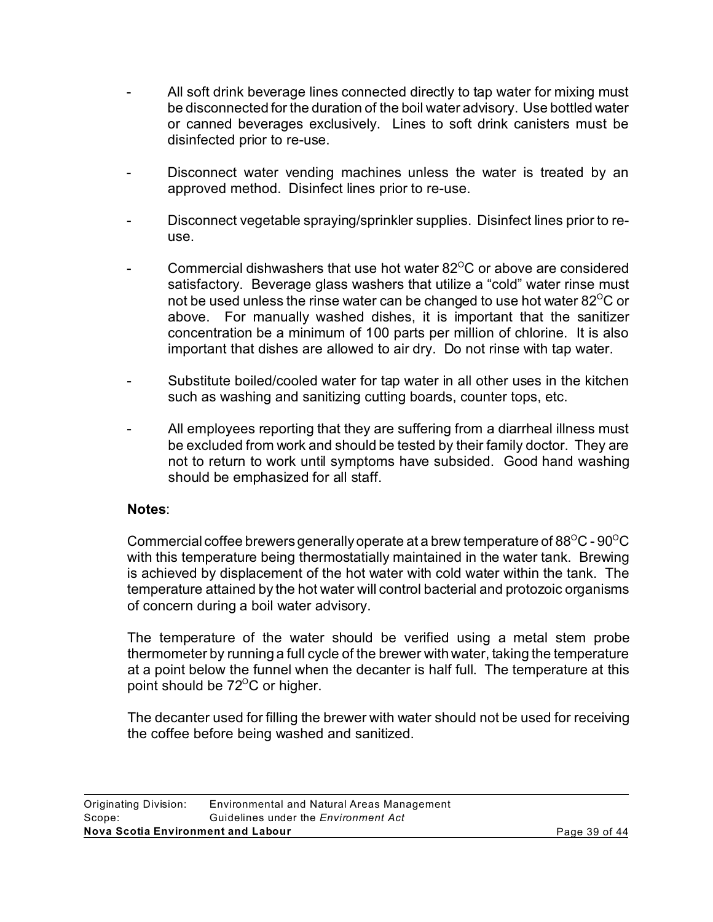- All soft drink beverage lines connected directly to tap water for mixing must be disconnected for the duration of the boil water advisory. Use bottled water or canned beverages exclusively. Lines to soft drink canisters must be disinfected prior to re-use.
- Disconnect water vending machines unless the water is treated by an approved method. Disinfect lines prior to re-use.
- Disconnect vegetable spraying/sprinkler supplies. Disinfect lines prior to reuse.
- Commercial dishwashers that use hot water  $82^{\circ}$ C or above are considered satisfactory. Beverage glass washers that utilize a "cold" water rinse must not be used unless the rinse water can be changed to use hot water 82 $\mathrm{^{\circ}C}$  or above. For manually washed dishes, it is important that the sanitizer concentration be a minimum of 100 parts per million of chlorine. It is also important that dishes are allowed to air dry. Do not rinse with tap water.
- Substitute boiled/cooled water for tap water in all other uses in the kitchen such as washing and sanitizing cutting boards, counter tops, etc.
- All employees reporting that they are suffering from a diarrheal illness must be excluded from work and should be tested by their family doctor. They are not to return to work until symptoms have subsided. Good hand washing should be emphasized for all staff.

#### **Notes**:

Commercial coffee brewers generally operate at a brew temperature of  $88^{\circ}$ C -  $90^{\circ}$ C with this temperature being thermostatially maintained in the water tank. Brewing is achieved by displacement of the hot water with cold water within the tank. The temperature attained by the hot water will control bacterial and protozoic organisms of concern during a boil water advisory.

The temperature of the water should be verified using a metal stem probe thermometer by running a full cycle of the brewer with water, taking the temperature at a point below the funnel when the decanter is half full. The temperature at this point should be  $72^{\circ}$ C or higher.

The decanter used for filling the brewer with water should not be used for receiving the coffee before being washed and sanitized.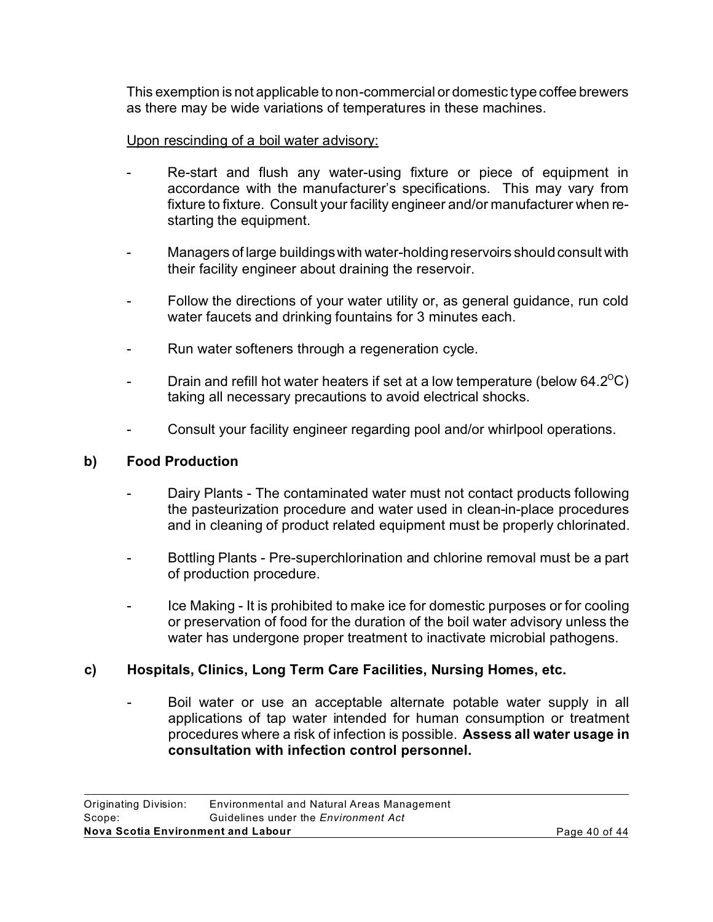This exemption is not applicable to non-commercial or domestic typecoffee brewers as there may be wide variations of temperatures in these machines.

### Upon rescinding of a boil water advisory:

- Re-start and flush any water-using fixture or piece of equipment in accordance with the manufacturer's specifications. This may vary from fixture to fixture. Consult your facility engineer and/or manufacturer when restarting the equipment.
- Managers of large buildings with water-holding reservoirs should consult with their facility engineer about draining the reservoir.
- Follow the directions of your water utility or, as general guidance, run cold water faucets and drinking fountains for 3 minutes each.
- Run water softeners through a regeneration cycle.
- Drain and refill hot water heaters if set at a low temperature (below  $64.2^{\circ}$ C) taking all necessary precautions to avoid electrical shocks.
- Consult your facility engineer regarding pool and/or whirlpool operations.

# **b) Food Production**

- Dairy Plants The contaminated water must not contact products following the pasteurization procedure and water used in clean-in-place procedures and in cleaning of product related equipment must be properly chlorinated.
- Bottling Plants Pre-superchlorination and chlorine removal must be a part of production procedure.
- Ice Making It is prohibited to make ice for domestic purposes or for cooling or preservation of food for the duration of the boil water advisory unless the water has undergone proper treatment to inactivate microbial pathogens.

# **c) Hospitals, Clinics, Long Term Care Facilities, Nursing Homes, etc.**

Boil water or use an acceptable alternate potable water supply in all applications of tap water intended for human consumption or treatment procedures where a risk of infection is possible. **Assess all water usage in consultation with infection control personnel.**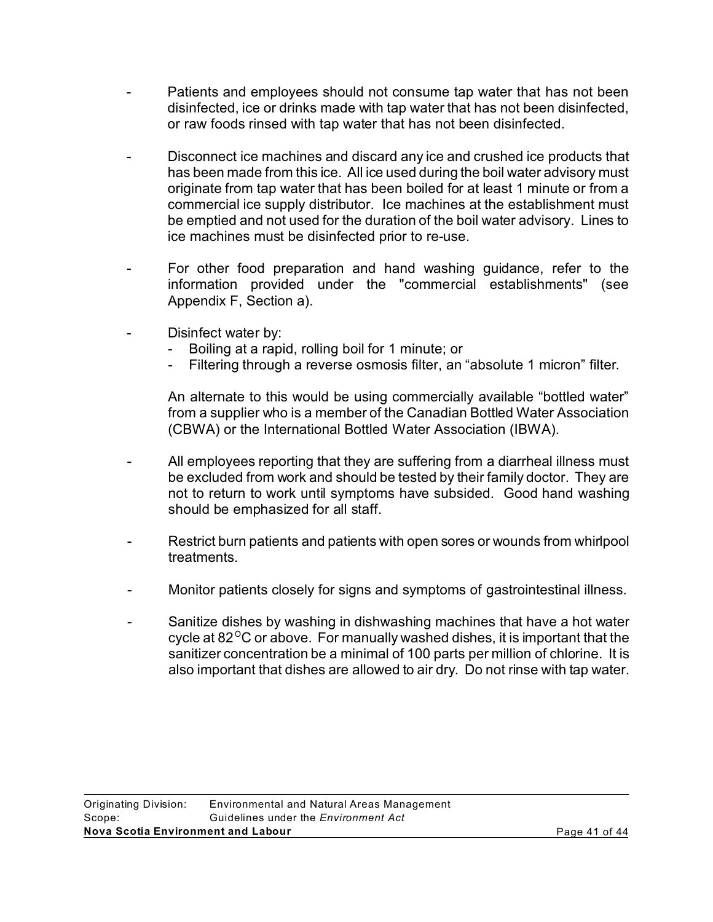- Patients and employees should not consume tap water that has not been disinfected, ice or drinks made with tap water that has not been disinfected, or raw foods rinsed with tap water that has not been disinfected.
- Disconnect ice machines and discard any ice and crushed ice products that has been made from this ice. All ice used during the boil water advisory must originate from tap water that has been boiled for at least 1 minute or from a commercial ice supply distributor. Ice machines at the establishment must be emptied and not used for the duration of the boil water advisory. Lines to ice machines must be disinfected prior to re-use.
- For other food preparation and hand washing guidance, refer to the information provided under the "commercial establishments" (see Appendix F, Section a).
- Disinfect water by:
	- Boiling at a rapid, rolling boil for 1 minute; or
	- Filtering through a reverse osmosis filter, an "absolute 1 micron" filter.

An alternate to this would be using commercially available "bottled water" from a supplier who is a member of the Canadian Bottled Water Association (CBWA) or the International Bottled Water Association (IBWA).

- All employees reporting that they are suffering from a diarrheal illness must be excluded from work and should be tested by their family doctor. They are not to return to work until symptoms have subsided. Good hand washing should be emphasized for all staff.
- Restrict burn patients and patients with open sores or wounds from whirlpool treatments.
- Monitor patients closely for signs and symptoms of gastrointestinal illness.
- Sanitize dishes by washing in dishwashing machines that have a hot water cycle at  $82^{\circ}$ C or above. For manually washed dishes, it is important that the sanitizer concentration be a minimal of 100 parts per million of chlorine. It is also important that dishes are allowed to air dry. Do not rinse with tap water.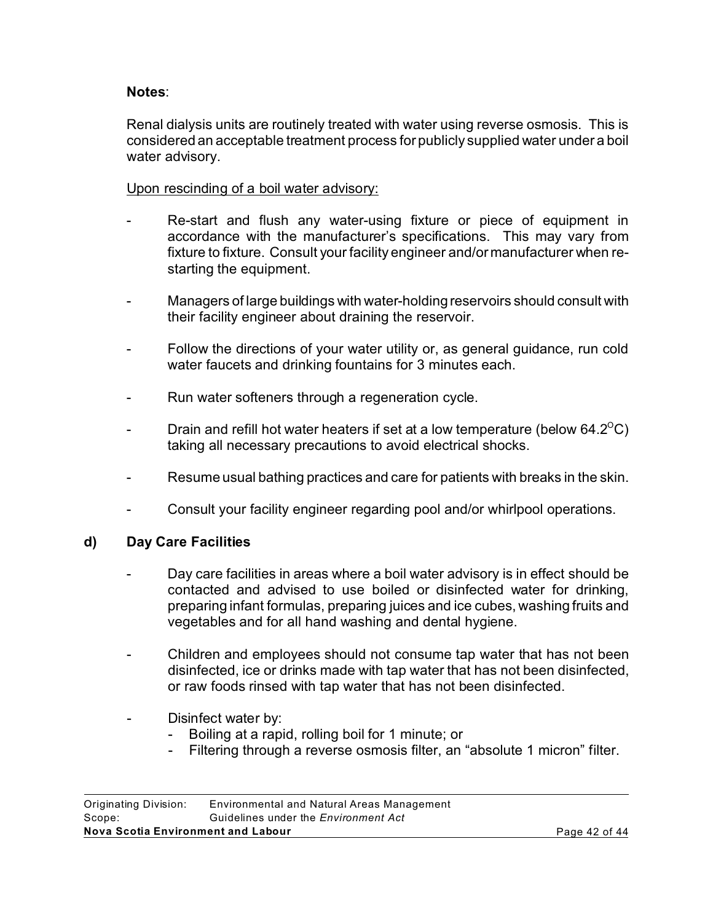#### **Notes**:

Renal dialysis units are routinely treated with water using reverse osmosis. This is considered an acceptable treatment process for publicly supplied water under a boil water advisory.

Upon rescinding of a boil water advisory:

- Re-start and flush any water-using fixture or piece of equipment in accordance with the manufacturer's specifications. This may vary from fixture to fixture. Consult your facility engineer and/or manufacturer when restarting the equipment.
- Managers of large buildings with water-holding reservoirs should consult with their facility engineer about draining the reservoir.
- Follow the directions of your water utility or, as general guidance, run cold water faucets and drinking fountains for 3 minutes each.
- Run water softeners through a regeneration cycle.
- Drain and refill hot water heaters if set at a low temperature (below  $64.2^{\circ}$ C) taking all necessary precautions to avoid electrical shocks.
- Resume usual bathing practices and care for patients with breaks in the skin.
- Consult your facility engineer regarding pool and/or whirlpool operations.

# **d) Day Care Facilities**

- Day care facilities in areas where a boil water advisory is in effect should be contacted and advised to use boiled or disinfected water for drinking, preparing infant formulas, preparing juices and ice cubes, washing fruits and vegetables and for all hand washing and dental hygiene.
- Children and employees should not consume tap water that has not been disinfected, ice or drinks made with tap water that has not been disinfected, or raw foods rinsed with tap water that has not been disinfected.
- Disinfect water by:
	- Boiling at a rapid, rolling boil for 1 minute; or
	- Filtering through a reverse osmosis filter, an "absolute 1 micron" filter.

| Nova Scotia Environment and Labour |                                             | Page 42 of 44 |
|------------------------------------|---------------------------------------------|---------------|
| Scope:                             | Guidelines under the <i>Environment Act</i> |               |
| Originating Division:              | Environmental and Natural Areas Management  |               |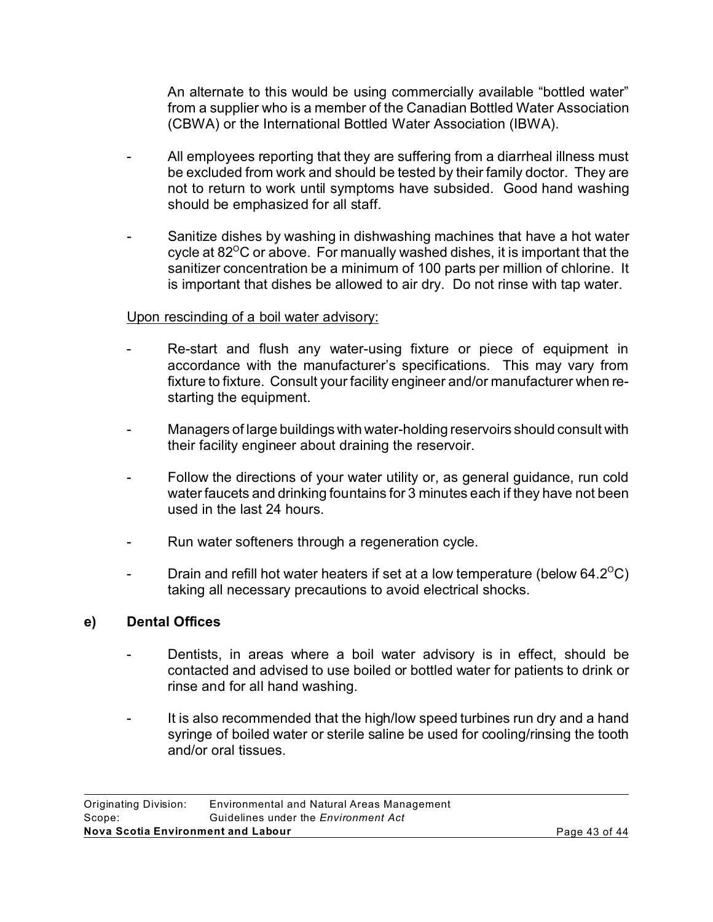An alternate to this would be using commercially available "bottled water" from a supplier who is a member of the Canadian Bottled Water Association (CBWA) or the International Bottled Water Association (IBWA).

- All employees reporting that they are suffering from a diarrheal illness must be excluded from work and should be tested by their family doctor. They are not to return to work until symptoms have subsided. Good hand washing should be emphasized for all staff.
- Sanitize dishes by washing in dishwashing machines that have a hot water cycle at  $82^{\circ}$ C or above. For manually washed dishes, it is important that the sanitizer concentration be a minimum of 100 parts per million of chlorine. It is important that dishes be allowed to air dry. Do not rinse with tap water.

### Upon rescinding of a boil water advisory:

- Re-start and flush any water-using fixture or piece of equipment in accordance with the manufacturer's specifications. This may vary from fixture to fixture. Consult your facility engineer and/or manufacturer when restarting the equipment.
- Managers of large buildings with water-holding reservoirs should consult with their facility engineer about draining the reservoir.
- Follow the directions of your water utility or, as general guidance, run cold water faucets and drinking fountains for 3 minutes each if they have not been used in the last 24 hours.
- Run water softeners through a regeneration cycle.
- Drain and refill hot water heaters if set at a low temperature (below  $64.2^{\circ}$ C) taking all necessary precautions to avoid electrical shocks.

#### **e) Dental Offices**

- Dentists, in areas where a boil water advisory is in effect, should be contacted and advised to use boiled or bottled water for patients to drink or rinse and for all hand washing.
- It is also recommended that the high/low speed turbines run dry and a hand syringe of boiled water or sterile saline be used for cooling/rinsing the tooth and/or oral tissues.